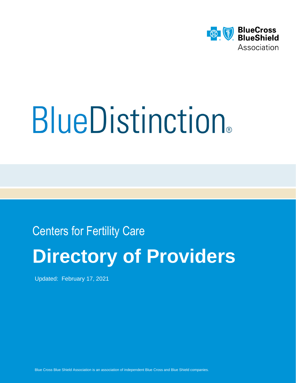

# **BlueDistinction**

## Centers for Fertility Care **Directory of Providers**

Updated: February 17, 2021

Blue Cross Blue Shield Association is an association of independent Blue Cross and Blue Shield companies.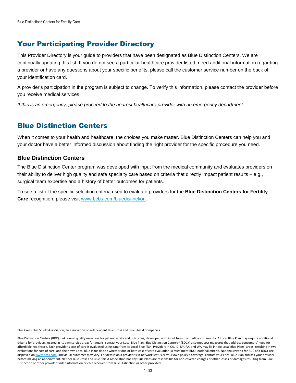#### Your Participating Provider Directory

This Provider Directory is your guide to providers that have been designated as Blue Distinction Centers. We are continually updating this list. If you do not see a particular healthcare provider listed, need additional information regarding a provider or have any questions about your specific benefits, please call the customer service number on the back of your identification card.

A provider's participation in the program is subject to change. To verify this information, please contact the provider before you receive medical services.

If this is an emergency, please proceed to the nearest healthcare provider with an emergency department.

#### Blue Distinction Centers

When it comes to your health and healthcare, the choices you make matter. Blue Distinction Centers can help you and your doctor have a better informed discussion about finding the right provider for the specific procedure you need.

#### **Blue Distinction Centers**

The Blue Distinction Center program was developed with input from the medical community and evaluates providers on their ability to deliver high quality and safe specialty care based on criteria that directly impact patient results – e.g., surgical team expertise and a history of better outcomes for patients.

To see a list of the specific selection criteria used to evaluate providers for the **Blue Distinction Centers for Fertility Care** recognition, please visit [www.bcbs.com/bluedistinction.](https://www.bcbs.com/blue-distinction-specialty-care)

Blue Cross Blue Shield Association, an association of independent Blue Cross and Blue Shield Companies.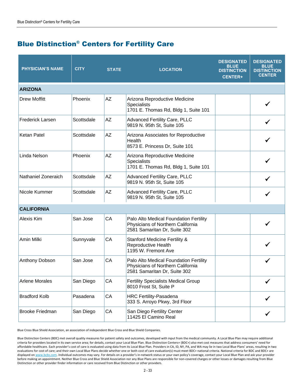### Blue Distinction® Centers for Fertility Care

| <b>PHYSICIAN'S NAME</b> | <b>CITY</b> | <b>STATE</b> | <b>LOCATION</b>                                                                                             | <b>DESIGNATED</b><br><b>BLUE</b><br><b>DISTINCTION</b><br><b>CENTER+</b> | <b>DESIGNATED</b><br><b>BLUE</b><br><b>DISTINCTION</b><br><b>CENTER</b> |
|-------------------------|-------------|--------------|-------------------------------------------------------------------------------------------------------------|--------------------------------------------------------------------------|-------------------------------------------------------------------------|
| <b>ARIZONA</b>          |             |              |                                                                                                             |                                                                          |                                                                         |
| <b>Drew Moffitt</b>     | Phoenix     | <b>AZ</b>    | Arizona Reproductive Medicine<br><b>Specialists</b><br>1701 E. Thomas Rd, Bldg 1, Suite 101                 |                                                                          |                                                                         |
| <b>Frederick Larsen</b> | Scottsdale  | <b>AZ</b>    | <b>Advanced Fertility Care, PLLC</b><br>9819 N. 95th St, Suite 105                                          |                                                                          |                                                                         |
| <b>Ketan Patel</b>      | Scottsdale  | <b>AZ</b>    | Arizona Associates for Reproductive<br>Health<br>8573 E. Princess Dr, Suite 101                             |                                                                          |                                                                         |
| Linda Nelson            | Phoenix     | <b>AZ</b>    | Arizona Reproductive Medicine<br><b>Specialists</b><br>1701 E. Thomas Rd, Bldg 1, Suite 101                 |                                                                          |                                                                         |
| Nathaniel Zoneraich     | Scottsdale  | <b>AZ</b>    | <b>Advanced Fertility Care, PLLC</b><br>9819 N. 95th St, Suite 105                                          |                                                                          |                                                                         |
| Nicole Kummer           | Scottsdale  | AΖ           | <b>Advanced Fertility Care, PLLC</b><br>9819 N. 95th St, Suite 105                                          |                                                                          |                                                                         |
| <b>CALIFORNIA</b>       |             |              |                                                                                                             |                                                                          |                                                                         |
| Alexis Kim              | San Jose    | CA           | Palo Alto Medical Foundation Fertility<br>Physicians of Northern California<br>2581 Samaritan Dr, Suite 302 |                                                                          |                                                                         |
| Amin Milki              | Sunnyvale   | CA           | <b>Stanford Medicine Fertility &amp;</b><br>Reproductive Health<br>1195 W. Fremont Ave                      |                                                                          |                                                                         |
| Anthony Dobson          | San Jose    | CA           | Palo Alto Medical Foundation Fertility<br>Physicians of Northern California<br>2581 Samaritan Dr, Suite 302 |                                                                          |                                                                         |
| <b>Arlene Morales</b>   | San Diego   | CA           | <b>Fertility Specialists Medical Group</b><br>8010 Frost St, Suite P                                        |                                                                          |                                                                         |
| <b>Bradford Kolb</b>    | Pasadena    | CA           | <b>HRC Fertility-Pasadena</b><br>333 S. Arroyo Pkwy, 3rd Floor                                              |                                                                          |                                                                         |
| <b>Brooke Friedman</b>  | San Diego   | CA           | San Diego Fertility Center<br>11425 El Camino Real                                                          |                                                                          |                                                                         |

Blue Cross Blue Shield Association, an association of independent Blue Cross and Blue Shield Companies.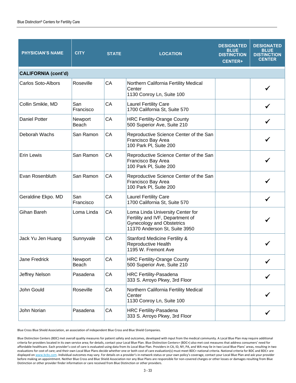| <b>PHYSICIAN'S NAME</b>    | <b>CITY</b>      | <b>STATE</b> | <b>LOCATION</b>                                                                                                                           | <b>DESIGNATED</b><br><b>BLUE</b><br><b>DISTINCTION</b><br><b>CENTER+</b> | <b>DESIGNATED</b><br><b>BLUE</b><br><b>DISTINCTION</b><br><b>CENTER</b> |
|----------------------------|------------------|--------------|-------------------------------------------------------------------------------------------------------------------------------------------|--------------------------------------------------------------------------|-------------------------------------------------------------------------|
| <b>CALIFORNIA (cont'd)</b> |                  |              |                                                                                                                                           |                                                                          |                                                                         |
| <b>Carlos Soto-Albors</b>  | Roseville        | CA           | Northern California Fertility Medical<br>Center<br>1130 Conroy Ln, Suite 100                                                              |                                                                          |                                                                         |
| Collin Smikle, MD          | San<br>Francisco | CA           | <b>Laurel Fertility Care</b><br>1700 California St, Suite 570                                                                             |                                                                          |                                                                         |
| <b>Daniel Potter</b>       | Newport<br>Beach | CA           | <b>HRC Fertility-Orange County</b><br>500 Superior Ave, Suite 210                                                                         |                                                                          |                                                                         |
| Deborah Wachs              | San Ramon        | CA           | Reproductive Science Center of the San<br>Francisco Bay Area<br>100 Park PI, Suite 200                                                    |                                                                          |                                                                         |
| <b>Erin Lewis</b>          | San Ramon        | CA           | Reproductive Science Center of the San<br>Francisco Bay Area<br>100 Park PI, Suite 200                                                    |                                                                          |                                                                         |
| Evan Rosenbluth            | San Ramon        | CA           | Reproductive Science Center of the San<br>Francisco Bay Area<br>100 Park PI, Suite 200                                                    |                                                                          |                                                                         |
| Geraldine Ekpo. MD         | San<br>Francisco | CA           | <b>Laurel Fertility Care</b><br>1700 California St, Suite 570                                                                             |                                                                          |                                                                         |
| Gihan Bareh                | Loma Linda       | CA           | Loma Linda University Center for<br>Fertility and IVF, Department of<br><b>Gynecology and Obstetrics</b><br>11370 Anderson St, Suite 3950 |                                                                          |                                                                         |
| Jack Yu Jen Huang          | Sunnyvale        | CA           | <b>Stanford Medicine Fertility &amp;</b><br>Reproductive Health<br>1195 W. Fremont Ave                                                    |                                                                          |                                                                         |
| Jane Fredrick              | Newport<br>Beach | CA           | <b>HRC Fertility-Orange County</b><br>500 Superior Ave, Suite 210                                                                         |                                                                          |                                                                         |
| Jeffrey Nelson             | Pasadena         | CA           | <b>HRC Fertility-Pasadena</b><br>333 S. Arroyo Pkwy, 3rd Floor                                                                            |                                                                          |                                                                         |
| John Gould                 | Roseville        | CA           | Northern California Fertility Medical<br>Center<br>1130 Conroy Ln, Suite 100                                                              |                                                                          |                                                                         |
| John Norian                | Pasadena         | CA           | <b>HRC Fertility-Pasadena</b><br>333 S. Arroyo Pkwy, 3rd Floor                                                                            |                                                                          |                                                                         |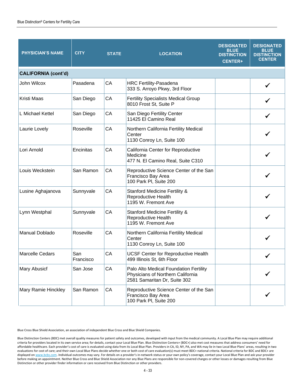| <b>PHYSICIAN'S NAME</b>    | <b>CITY</b>      | STATE | <b>LOCATION</b>                                                                                             | <b>DESIGNATED</b><br>BLUE<br><b>DISTINCTION</b><br><b>CENTER+</b> | <b>DESIGNATED</b><br><b>BLUE</b><br><b>DISTINCTION</b><br><b>CENTER</b> |
|----------------------------|------------------|-------|-------------------------------------------------------------------------------------------------------------|-------------------------------------------------------------------|-------------------------------------------------------------------------|
| <b>CALIFORNIA (cont'd)</b> |                  |       |                                                                                                             |                                                                   |                                                                         |
| John Wilcox                | Pasadena         | CA    | <b>HRC Fertility-Pasadena</b><br>333 S. Arroyo Pkwy, 3rd Floor                                              |                                                                   |                                                                         |
| Kristi Maas                | San Diego        | CA    | <b>Fertility Specialists Medical Group</b><br>8010 Frost St, Suite P                                        |                                                                   |                                                                         |
| L Michael Kettel           | San Diego        | CA    | San Diego Fertility Center<br>11425 El Camino Real                                                          |                                                                   |                                                                         |
| Laurie Lovely              | Roseville        | CA    | Northern California Fertility Medical<br>Center<br>1130 Conroy Ln, Suite 100                                |                                                                   |                                                                         |
| Lori Arnold                | Encinitas        | CA    | California Center for Reproductive<br>Medicine<br>477 N. El Camino Real, Suite C310                         |                                                                   |                                                                         |
| Louis Weckstein            | San Ramon        | CA    | Reproductive Science Center of the San<br>Francisco Bay Area<br>100 Park PI, Suite 200                      |                                                                   |                                                                         |
| Lusine Aghajanova          | Sunnyvale        | CA    | <b>Stanford Medicine Fertility &amp;</b><br><b>Reproductive Health</b><br>1195 W. Fremont Ave               |                                                                   |                                                                         |
| Lynn Westphal              | Sunnyvale        | CA    | <b>Stanford Medicine Fertility &amp;</b><br>Reproductive Health<br>1195 W. Fremont Ave                      |                                                                   |                                                                         |
| Manual Doblado             | Roseville        | CA    | Northern California Fertility Medical<br>Center<br>1130 Conroy Ln, Suite 100                                |                                                                   |                                                                         |
| Marcelle Cedars            | San<br>Francisco | CA    | <b>UCSF Center for Reproductive Health</b><br>499 Illinois St, 6th Floor                                    |                                                                   |                                                                         |
| Mary Abusicf               | San Jose         | CA    | Palo Alto Medical Foundation Fertility<br>Physicians of Northern California<br>2581 Samaritan Dr, Suite 302 |                                                                   |                                                                         |
| Mary Ramie Hinckley        | San Ramon        | CA    | Reproductive Science Center of the San<br>Francisco Bay Area<br>100 Park Pl, Suite 200                      |                                                                   |                                                                         |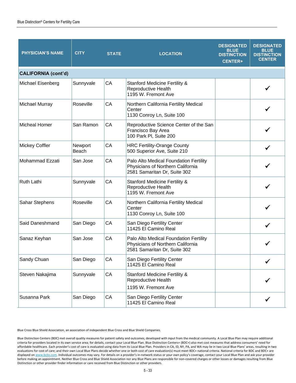| <b>PHYSICIAN'S NAME</b>    | <b>CITY</b>      | <b>STATE</b> | <b>LOCATION</b>                                                                                             | <b>DESIGNATED</b><br><b>BLUE</b><br><b>DISTINCTION</b><br><b>CENTER+</b> | <b>DESIGNATED</b><br><b>BLUE</b><br><b>DISTINCTION</b><br><b>CENTER</b> |
|----------------------------|------------------|--------------|-------------------------------------------------------------------------------------------------------------|--------------------------------------------------------------------------|-------------------------------------------------------------------------|
| <b>CALIFORNIA (cont'd)</b> |                  |              |                                                                                                             |                                                                          |                                                                         |
| Michael Eisenberg          | Sunnyvale        | CA           | <b>Stanford Medicine Fertility &amp;</b><br>Reproductive Health<br>1195 W. Fremont Ave                      |                                                                          |                                                                         |
| <b>Michael Murray</b>      | Roseville        | CA           | Northern California Fertility Medical<br>Center<br>1130 Conroy Ln, Suite 100                                |                                                                          |                                                                         |
| Micheal Homer              | San Ramon        | CA           | Reproductive Science Center of the San<br>Francisco Bay Area<br>100 Park Pl, Suite 200                      |                                                                          |                                                                         |
| <b>Mickey Coffler</b>      | Newport<br>Beach | CA           | <b>HRC Fertility-Orange County</b><br>500 Superior Ave, Suite 210                                           |                                                                          |                                                                         |
| <b>Mohammad Ezzati</b>     | San Jose         | CA           | Palo Alto Medical Foundation Fertility<br>Physicians of Northern California<br>2581 Samaritan Dr, Suite 302 |                                                                          |                                                                         |
| <b>Ruth Lathi</b>          | Sunnyvale        | CA           | <b>Stanford Medicine Fertility &amp;</b><br>Reproductive Health<br>1195 W. Fremont Ave                      |                                                                          |                                                                         |
| Sahar Stephens             | Roseville        | CA           | Northern California Fertility Medical<br>Center<br>1130 Conroy Ln, Suite 100                                |                                                                          |                                                                         |
| Said Daneshmand            | San Diego        | CA           | San Diego Fertility Center<br>11425 El Camino Real                                                          |                                                                          |                                                                         |
| Sanaz Keyhan               | San Jose         | CA           | Palo Alto Medical Foundation Fertility<br>Physicians of Northern California<br>2581 Samaritan Dr, Suite 302 |                                                                          |                                                                         |
| Sandy Chuan                | San Diego        | CA           | San Diego Fertility Center<br>11425 El Camino Real                                                          |                                                                          |                                                                         |
| Steven Nakajima            | Sunnyvale        | CA           | <b>Stanford Medicine Fertility &amp;</b><br>Reproductive Health<br>1195 W. Fremont Ave                      |                                                                          |                                                                         |
| Susanna Park               | San Diego        | CA           | San Diego Fertility Center<br>11425 El Camino Real                                                          |                                                                          |                                                                         |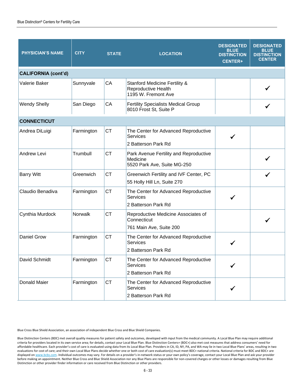| <b>PHYSICIAN'S NAME</b>    | <b>CITY</b>    | <b>STATE</b> | <b>LOCATION</b>                                                                        | <b>DESIGNATED</b><br><b>BLUE</b><br><b>DISTINCTION</b><br><b>CENTER+</b> | <b>DESIGNATED</b><br>BLUE<br><b>DISTINCTION</b><br><b>CENTER</b> |
|----------------------------|----------------|--------------|----------------------------------------------------------------------------------------|--------------------------------------------------------------------------|------------------------------------------------------------------|
| <b>CALIFORNIA (cont'd)</b> |                |              |                                                                                        |                                                                          |                                                                  |
| Valerie Baker              | Sunnyvale      | CA           | <b>Stanford Medicine Fertility &amp;</b><br>Reproductive Health<br>1195 W. Fremont Ave |                                                                          |                                                                  |
| <b>Wendy Shelly</b>        | San Diego      | CA           | <b>Fertility Specialists Medical Group</b><br>8010 Frost St, Suite P                   |                                                                          |                                                                  |
| <b>CONNECTICUT</b>         |                |              |                                                                                        |                                                                          |                                                                  |
| Andrea DiLuigi             | Farmington     | <b>CT</b>    | The Center for Advanced Reproductive<br>Services<br>2 Batterson Park Rd                |                                                                          |                                                                  |
| <b>Andrew Levi</b>         | Trumbull       | <b>CT</b>    | Park Avenue Fertility and Reproductive<br>Medicine<br>5520 Park Ave, Suite MG-250      |                                                                          |                                                                  |
| <b>Barry Witt</b>          | Greenwich      | <b>CT</b>    | Greenwich Fertility and IVF Center, PC<br>55 Holly Hill Ln, Suite 270                  |                                                                          |                                                                  |
| Claudio Benadiva           | Farmington     | <b>CT</b>    | The Center for Advanced Reproductive<br>Services<br>2 Batterson Park Rd                |                                                                          |                                                                  |
| Cynthia Murdock            | <b>Norwalk</b> | <b>CT</b>    | Reproductive Medicine Associates of<br>Connecticut<br>761 Main Ave, Suite 200          |                                                                          |                                                                  |
| <b>Daniel Grow</b>         | Farmington     | <b>CT</b>    | The Center for Advanced Reproductive<br>Services<br>2 Batterson Park Rd                |                                                                          |                                                                  |
| David Schmidt              | Farmington     | <b>CT</b>    | The Center for Advanced Reproductive<br>Services<br>2 Batterson Park Rd                |                                                                          |                                                                  |
| Donald Maier               | Farmington     | <b>CT</b>    | The Center for Advanced Reproductive<br>Services<br>2 Batterson Park Rd                |                                                                          |                                                                  |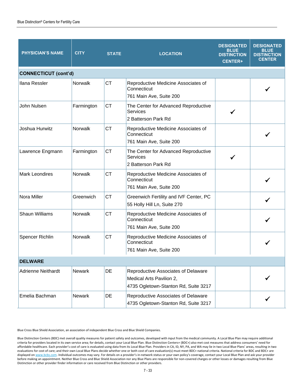| <b>PHYSICIAN'S NAME</b>   | <b>CITY</b>    | STATE     | <b>LOCATION</b>                                                                                         | <b>DESIGNATED</b><br>BLUE<br><b>DISTINCTION</b><br><b>CENTER+</b> | <b>DESIGNATED</b><br>BLUE<br><b>DISTINCTION</b><br><b>CENTER</b> |
|---------------------------|----------------|-----------|---------------------------------------------------------------------------------------------------------|-------------------------------------------------------------------|------------------------------------------------------------------|
| CONNECTICUT (cont'd)      |                |           |                                                                                                         |                                                                   |                                                                  |
| Ilana Ressler             | Norwalk        | <b>CT</b> | Reproductive Medicine Associates of<br>Connecticut<br>761 Main Ave, Suite 200                           |                                                                   |                                                                  |
| John Nulsen               | Farmington     | <b>CT</b> | The Center for Advanced Reproductive<br>Services<br>2 Batterson Park Rd                                 |                                                                   |                                                                  |
| Joshua Hurwitz            | Norwalk        | <b>CT</b> | Reproductive Medicine Associates of<br>Connecticut<br>761 Main Ave, Suite 200                           |                                                                   |                                                                  |
| Lawrence Engmann          | Farmington     | <b>CT</b> | The Center for Advanced Reproductive<br>Services<br>2 Batterson Park Rd                                 |                                                                   |                                                                  |
| <b>Mark Leondires</b>     | Norwalk        | <b>CT</b> | Reproductive Medicine Associates of<br>Connecticut<br>761 Main Ave, Suite 200                           |                                                                   |                                                                  |
| Nora Miller               | Greenwich      | <b>CT</b> | Greenwich Fertility and IVF Center, PC<br>55 Holly Hill Ln, Suite 270                                   |                                                                   |                                                                  |
| <b>Shaun Williams</b>     | <b>Norwalk</b> | <b>CT</b> | Reproductive Medicine Associates of<br>Connecticut<br>761 Main Ave, Suite 200                           |                                                                   |                                                                  |
| Spencer Richlin           | Norwalk        | <b>CT</b> | Reproductive Medicine Associates of<br>Connecticut<br>761 Main Ave, Suite 200                           |                                                                   |                                                                  |
| <b>DELWARE</b>            |                |           |                                                                                                         |                                                                   |                                                                  |
| <b>Adrienne Neithardt</b> | <b>Newark</b>  | DE        | Reproductive Associates of Delaware<br>Medical Arts Pavilion 2,<br>4735 Ogletown-Stanton Rd, Suite 3217 |                                                                   |                                                                  |
| Emelia Bachman            | <b>Newark</b>  | DE        | Reproductive Associates of Delaware<br>4735 Ogletown-Stanton Rd, Suite 3217                             |                                                                   |                                                                  |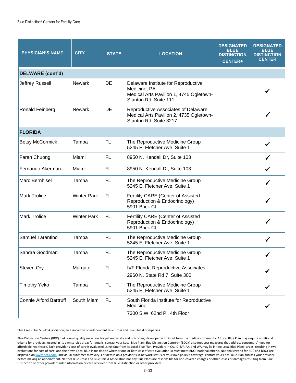| <b>PHYSICIAN'S NAME</b>       | <b>CITY</b>        | <b>STATE</b> | <b>LOCATION</b>                                                                                                         | <b>DESIGNATED</b><br><b>BLUE</b><br><b>DISTINCTION</b><br><b>CENTER+</b> | <b>DESIGNATED</b><br><b>BLUE</b><br><b>DISTINCTION</b><br><b>CENTER</b> |
|-------------------------------|--------------------|--------------|-------------------------------------------------------------------------------------------------------------------------|--------------------------------------------------------------------------|-------------------------------------------------------------------------|
| <b>DELWARE</b> (cont'd)       |                    |              |                                                                                                                         |                                                                          |                                                                         |
| Jeffrey Russell               | <b>Newark</b>      | DE           | Delaware Institute for Reproductive<br>Medicine, PA<br>Medical Arts Pavilion 1, 4745 Ogletown-<br>Stanton Rd, Suite 111 |                                                                          |                                                                         |
| Ronald Feinberg               | <b>Newark</b>      | DE           | Reproductive Associates of Delaware<br>Medical Arts Pavilion 2, 4735 Ogletown-<br>Stanton Rd, Suite 3217                |                                                                          |                                                                         |
| <b>FLORIDA</b>                |                    |              |                                                                                                                         |                                                                          |                                                                         |
| <b>Betsy McCormick</b>        | Tampa              | FL           | The Reproductive Medicine Group<br>5245 E. Fletcher Ave, Suite 1                                                        |                                                                          |                                                                         |
| Farah Chuong                  | Miami              | <b>FL</b>    | 8950 N. Kendall Dr, Suite 103                                                                                           |                                                                          |                                                                         |
| Fernando Akerman              | Miami              | FL           | 8950 N. Kendall Dr, Suite 103                                                                                           |                                                                          |                                                                         |
| Marc Bernhisel                | Tampa              | FL           | The Reproductive Medicine Group<br>5245 E. Fletcher Ave, Suite 1                                                        |                                                                          |                                                                         |
| <b>Mark Trolice</b>           | <b>Winter Park</b> | FL           | Fertility CARE (Center of Assisted<br>Reproduction & Endocrinology)<br>5901 Brick Ct                                    |                                                                          |                                                                         |
| <b>Mark Trolice</b>           | <b>Winter Park</b> | <b>FL</b>    | Fertility CARE (Center of Assisted<br>Reproduction & Endocrinology)<br>5901 Brick Ct                                    |                                                                          |                                                                         |
| Samuel Tarantino              | Tampa              | <b>FL</b>    | The Reproductive Medicine Group<br>5245 E. Fletcher Ave, Suite 1                                                        |                                                                          |                                                                         |
| Sandra Goodman                | Tampa              | <b>FL</b>    | The Reproductive Medicine Group<br>5245 E. Fletcher Ave, Suite 1                                                        |                                                                          |                                                                         |
| Steven Ory                    | Margate            | FL.          | <b>IVF Florida Reproductive Associates</b><br>2960 N. State Rd 7, Suite 300                                             |                                                                          |                                                                         |
| <b>Timothy Yeko</b>           | Tampa              | FL           | The Reproductive Medicine Group<br>5245 E. Fletcher Ave, Suite 1                                                        |                                                                          |                                                                         |
| <b>Connie Alford Bartruff</b> | South Miami        | <b>FL</b>    | South Florida Institute for Reproductive<br>Medicine<br>7300 S.W. 62nd PI, 4th Floor                                    |                                                                          |                                                                         |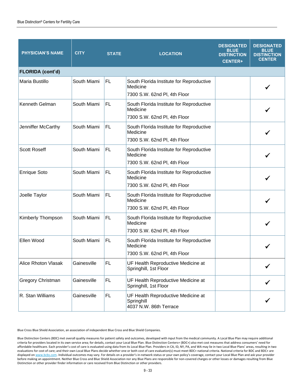| <b>PHYSICIAN'S NAME</b>    | <b>CITY</b> | <b>STATE</b> | <b>LOCATION</b>                                                                      | <b>DESIGNATED</b><br><b>BLUE</b><br><b>DISTINCTION</b><br><b>CENTER+</b> | <b>DESIGNATED</b><br><b>BLUE</b><br><b>DISTINCTION</b><br><b>CENTER</b> |
|----------------------------|-------------|--------------|--------------------------------------------------------------------------------------|--------------------------------------------------------------------------|-------------------------------------------------------------------------|
| <b>FLORIDA</b> (cont'd)    |             |              |                                                                                      |                                                                          |                                                                         |
| Maria Bustillo             | South Miami | <b>FL</b>    | South Florida Institute for Reproductive<br>Medicine<br>7300 S.W. 62nd PI, 4th Floor |                                                                          |                                                                         |
| Kenneth Gelman             | South Miami | <b>FL</b>    | South Florida Institute for Reproductive<br>Medicine<br>7300 S.W. 62nd PI, 4th Floor |                                                                          |                                                                         |
| Jenniffer McCarthy         | South Miami | FL           | South Florida Institute for Reproductive<br>Medicine<br>7300 S.W. 62nd Pl, 4th Floor |                                                                          |                                                                         |
| <b>Scott Roseff</b>        | South Miami | <b>FL</b>    | South Florida Institute for Reproductive<br>Medicine<br>7300 S.W. 62nd PI, 4th Floor |                                                                          |                                                                         |
| Enrique Soto               | South Miami | <b>FL</b>    | South Florida Institute for Reproductive<br>Medicine<br>7300 S.W. 62nd Pl, 4th Floor |                                                                          |                                                                         |
| Joelle Taylor              | South Miami | <b>FL</b>    | South Florida Institute for Reproductive<br>Medicine<br>7300 S.W. 62nd Pl, 4th Floor |                                                                          |                                                                         |
| <b>Kimberly Thompson</b>   | South Miami | <b>FL</b>    | South Florida Institute for Reproductive<br>Medicine<br>7300 S.W. 62nd Pl, 4th Floor |                                                                          |                                                                         |
| Ellen Wood                 | South Miami | <b>FL</b>    | South Florida Institute for Reproductive<br>Medicine<br>7300 S.W. 62nd PI, 4th Floor |                                                                          |                                                                         |
| <b>Alice Rhoton Vlasak</b> | Gainesville | <b>FL</b>    | UF Health Reproductive Medicine at<br>Springhill, 1st Floor                          |                                                                          |                                                                         |
| <b>Gregory Christman</b>   | Gainesville | FL           | UF Health Reproductive Medicine at<br>Springhill, 1st Floor                          |                                                                          |                                                                         |
| R. Stan Williams           | Gainesville | FL.          | UF Health Reproductive Medicine at<br>Springhill<br>4037 N.W. 86th Terrace           |                                                                          |                                                                         |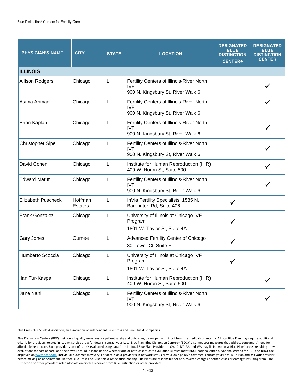| <b>PHYSICIAN'S NAME</b>   | <b>CITY</b>               | <b>STATE</b> | <b>LOCATION</b>                                                                              | <b>DESIGNATED</b><br>BLUE<br><b>DISTINCTION</b><br><b>CENTER+</b> | <b>DESIGNATED</b><br>BLUE<br><b>DISTINCTION</b><br><b>CENTER</b> |
|---------------------------|---------------------------|--------------|----------------------------------------------------------------------------------------------|-------------------------------------------------------------------|------------------------------------------------------------------|
| <b>ILLINOIS</b>           |                           |              |                                                                                              |                                                                   |                                                                  |
| <b>Allison Rodgers</b>    | Chicago                   | IL           | Fertility Centers of Illinois-River North<br><b>IVF</b><br>900 N. Kingsbury St, River Walk 6 |                                                                   |                                                                  |
| Asima Ahmad               | Chicago                   | IL           | Fertility Centers of Illinois-River North<br><b>IVF</b><br>900 N. Kingsbury St, River Walk 6 |                                                                   |                                                                  |
| Brian Kaplan              | Chicago                   | IL           | Fertility Centers of Illinois-River North<br><b>IVF</b><br>900 N. Kingsbury St, River Walk 6 |                                                                   |                                                                  |
| <b>Christopher Sipe</b>   | Chicago                   | IL           | Fertility Centers of Illinois-River North<br><b>IVF</b><br>900 N. Kingsbury St, River Walk 6 |                                                                   |                                                                  |
| David Cohen               | Chicago                   | IL           | Institute for Human Reproduction (IHR)<br>409 W. Huron St, Suite 500                         |                                                                   |                                                                  |
| <b>Edward Marut</b>       | Chicago                   | IL           | Fertility Centers of Illinois-River North<br><b>IVF</b><br>900 N. Kingsbury St, River Walk 6 |                                                                   |                                                                  |
| <b>Elizabeth Puscheck</b> | Hoffman<br><b>Estates</b> | IL           | InVia Fertility Specialists, 1585 N.<br>Barrington Rd, Suite 406                             | ✔                                                                 |                                                                  |
| <b>Frank Gonzalez</b>     | Chicago                   | IL           | University of Illinois at Chicago IVF<br>Program<br>1801 W. Taylor St, Suite 4A              |                                                                   |                                                                  |
| <b>Gary Jones</b>         | Gurnee                    | IL           | Advanced Fertility Center of Chicago<br>30 Tower Ct, Suite F                                 |                                                                   |                                                                  |
| Humberto Scoccia          | Chicago                   | IL           | University of Illinois at Chicago IVF<br>Program<br>1801 W. Taylor St, Suite 4A              |                                                                   |                                                                  |
| Ilan Tur-Kaspa            | Chicago                   | IL           | Institute for Human Reproduction (IHR)<br>409 W. Huron St, Suite 500                         |                                                                   | ✔                                                                |
| Jane Nani                 | Chicago                   | IL           | Fertility Centers of Illinois-River North<br><b>IVF</b><br>900 N. Kingsbury St, River Walk 6 |                                                                   |                                                                  |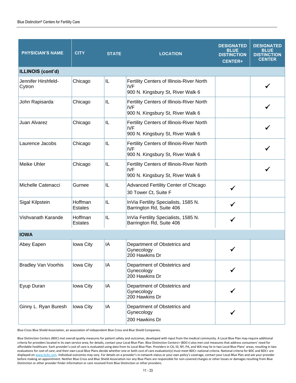| <b>PHYSICIAN'S NAME</b>       | <b>CITY</b>               | <b>STATE</b> | <b>LOCATION</b>                                                                              | <b>DESIGNATED</b><br><b>BLUE</b><br><b>DISTINCTION</b><br><b>CENTER+</b> | <b>DESIGNATED</b><br><b>BLUE</b><br><b>DISTINCTION</b><br><b>CENTER</b> |
|-------------------------------|---------------------------|--------------|----------------------------------------------------------------------------------------------|--------------------------------------------------------------------------|-------------------------------------------------------------------------|
| ILLINOIS (cont'd)             |                           |              |                                                                                              |                                                                          |                                                                         |
| Jennifer Hirshfeld-<br>Cytron | Chicago                   | IL           | Fertility Centers of Illinois-River North<br><b>IVF</b><br>900 N. Kingsbury St, River Walk 6 |                                                                          |                                                                         |
| John Rapisarda                | Chicago                   | IL           | Fertility Centers of Illinois-River North<br><b>IVF</b><br>900 N. Kingsbury St, River Walk 6 |                                                                          |                                                                         |
| Juan Alvarez                  | Chicago                   | IL           | Fertility Centers of Illinois-River North<br><b>IVF</b><br>900 N. Kingsbury St, River Walk 6 |                                                                          |                                                                         |
| Laurence Jacobs               | Chicago                   | IL           | Fertility Centers of Illinois-River North<br><b>IVF</b><br>900 N. Kingsbury St, River Walk 6 |                                                                          |                                                                         |
| Meike Uhler                   | Chicago                   | IL           | Fertility Centers of Illinois-River North<br><b>IVF</b><br>900 N. Kingsbury St, River Walk 6 |                                                                          |                                                                         |
| Michelle Catenacci            | Gurnee                    | IL           | Advanced Fertility Center of Chicago<br>30 Tower Ct, Suite F                                 | $\checkmark$                                                             |                                                                         |
| Sigal Kilpstein               | Hoffman<br><b>Estates</b> | IL           | InVia Fertility Specialists, 1585 N.<br>Barrington Rd, Suite 406                             |                                                                          |                                                                         |
| Vishvanath Karande            | Hoffman<br><b>Estates</b> | IL           | InVia Fertility Specialists, 1585 N.<br>Barrington Rd, Suite 406                             | ✔                                                                        |                                                                         |
| <b>IOWA</b>                   |                           |              |                                                                                              |                                                                          |                                                                         |
| Abey Eapen                    | Iowa City                 | IA           | Department of Obstetrics and<br>Gynecology<br>200 Hawkins Dr                                 |                                                                          |                                                                         |
| <b>Bradley Van Voorhis</b>    | Iowa City                 | IA           | Department of Obstetrics and<br>Gynecology<br>200 Hawkins Dr                                 |                                                                          |                                                                         |
| Eyup Duran                    | Iowa City                 | IA           | Department of Obstetrics and<br>Gynecology<br>200 Hawkins Dr                                 |                                                                          |                                                                         |
| Ginny L. Ryan Buresh          | Iowa City                 | IA           | Department of Obstetrics and<br>Gynecology<br>200 Hawkins Dr                                 |                                                                          |                                                                         |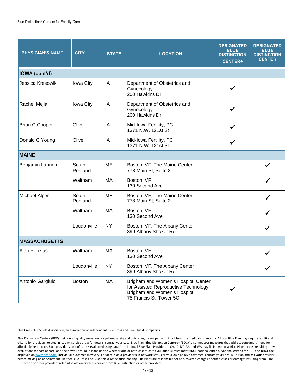| <b>PHYSICIAN'S NAME</b> | <b>CITY</b>       | <b>STATE</b> | <b>LOCATION</b>                                                                                                                         | <b>DESIGNATED</b><br><b>BLUE</b><br><b>DISTINCTION</b><br><b>CENTER+</b> | <b>DESIGNATED</b><br><b>BLUE</b><br><b>DISTINCTION</b><br><b>CENTER</b> |
|-------------------------|-------------------|--------------|-----------------------------------------------------------------------------------------------------------------------------------------|--------------------------------------------------------------------------|-------------------------------------------------------------------------|
| IOWA (cont'd)           |                   |              |                                                                                                                                         |                                                                          |                                                                         |
| Jessica Kresowik        | Iowa City         | IA           | Department of Obstetrics and<br>Gynecology<br>200 Hawkins Dr                                                                            |                                                                          |                                                                         |
| Rachel Mejia            | Iowa City         | IA           | Department of Obstetrics and<br>Gynecology<br>200 Hawkins Dr                                                                            | ✔                                                                        |                                                                         |
| <b>Brian C Cooper</b>   | Clive             | IA           | Mid-Iowa Fertility, PC<br>1371 N.W. 121st St                                                                                            | ✔                                                                        |                                                                         |
| Donald C Young          | Clive             | IA           | Mid-Iowa Fertility, PC<br>1371 N.W. 121st St                                                                                            | ✔                                                                        |                                                                         |
| <b>MAINE</b>            |                   |              |                                                                                                                                         |                                                                          |                                                                         |
| Benjamin Lannon         | South<br>Portland | <b>ME</b>    | Boston IVF, The Maine Center<br>778 Main St, Suite 2                                                                                    |                                                                          |                                                                         |
|                         | Waltham           | <b>MA</b>    | <b>Boston IVF</b><br>130 Second Ave                                                                                                     |                                                                          |                                                                         |
| Michael Alper           | South<br>Portland | <b>ME</b>    | Boston IVF, The Maine Center<br>778 Main St, Suite 2                                                                                    |                                                                          |                                                                         |
|                         | Waltham           | <b>MA</b>    | <b>Boston IVF</b><br>130 Second Ave                                                                                                     |                                                                          |                                                                         |
|                         | Loudonville       | <b>NY</b>    | Boston IVF, The Albany Center<br>399 Albany Shaker Rd                                                                                   |                                                                          |                                                                         |
| <b>MASSACHUSETTS</b>    |                   |              |                                                                                                                                         |                                                                          |                                                                         |
| Alan Penzias            | Waltham           | MA           | <b>Boston IVF</b><br>130 Second Ave                                                                                                     |                                                                          |                                                                         |
|                         | Loudonville       | <b>NY</b>    | Boston IVF, The Albany Center<br>399 Albany Shaker Rd                                                                                   |                                                                          | ✔                                                                       |
| Antonio Gargiulo        | <b>Boston</b>     | MA           | Brigham and Women's Hospital Center<br>for Assisted Reproductive Technology,<br>Brigham and Women's Hospital<br>75 Francis St, Tower 5C |                                                                          |                                                                         |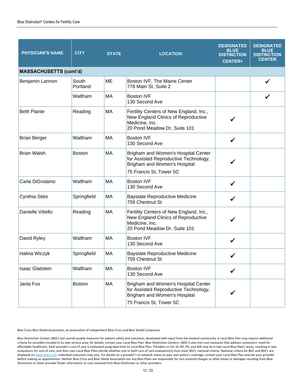| <b>PHYSICIAN'S NAME</b>       | <b>CITY</b>       | <b>STATE</b> | <b>LOCATION</b>                                                                                                                         | <b>DESIGNATED</b><br><b>BLUE</b><br><b>DISTINCTION</b><br><b>CENTER+</b> | <b>DESIGNATED</b><br><b>BLUE</b><br><b>DISTINCTION</b><br><b>CENTER</b> |
|-------------------------------|-------------------|--------------|-----------------------------------------------------------------------------------------------------------------------------------------|--------------------------------------------------------------------------|-------------------------------------------------------------------------|
| <b>MASSACHUSETTS (cont'd)</b> |                   |              |                                                                                                                                         |                                                                          |                                                                         |
| Benjamin Lannon               | South<br>Portland | <b>ME</b>    | Boston IVF, The Maine Center<br>778 Main St, Suite 2                                                                                    |                                                                          |                                                                         |
|                               | Waltham           | MA           | <b>Boston IVF</b><br>130 Second Ave                                                                                                     |                                                                          |                                                                         |
| <b>Beth Plante</b>            | Reading           | MA           | Fertility Centers of New England, Inc.,<br>New England Clinics of Reproductive<br>Medicine, Inc.<br>20 Pond Meadow Dr, Suite 101        |                                                                          |                                                                         |
| <b>Brian Berger</b>           | Waltham           | MA           | <b>Boston IVF</b><br>130 Second Ave                                                                                                     | ✔                                                                        |                                                                         |
| <b>Brian Walsh</b>            | <b>Boston</b>     | MA           | Brigham and Women's Hospital Center<br>for Assisted Reproductive Technology,<br>Brigham and Women's Hospital<br>75 Francis St, Tower 5C |                                                                          |                                                                         |
| Carla DiGrolamo               | Waltham           | MA           | <b>Boston IVF</b><br>130 Second Ave                                                                                                     | ✓                                                                        |                                                                         |
| <b>Cynthia Sites</b>          | Springfield       | <b>MA</b>    | <b>Baystate Reproductive Medicine</b><br>759 Chestnut St                                                                                | ✔                                                                        |                                                                         |
| Danielle Vitiello             | Reading           | MA           | Fertility Centers of New England, Inc.,<br>New England Clinics of Reproductive<br>Medicine, Inc.<br>20 Pond Meadow Dr, Suite 101        |                                                                          |                                                                         |
| David Ryley                   | Waltham           | MA           | <b>Boston IVF</b><br>130 Second Ave                                                                                                     |                                                                          |                                                                         |
| Halina Wiczyk                 | Springfield       | MA           | <b>Baystate Reproductive Medicine</b><br>759 Chestnut St                                                                                | $\checkmark$                                                             |                                                                         |
| <b>Isaac Glatstein</b>        | Waltham           | MA           | <b>Boston IVF</b><br>130 Second Ave                                                                                                     | $\checkmark$                                                             |                                                                         |
| Janis Fox                     | <b>Boston</b>     | MA           | Brigham and Women's Hospital Center<br>for Assisted Reproductive Technology,<br>Brigham and Women's Hospital<br>75 Francis St, Tower 5C |                                                                          |                                                                         |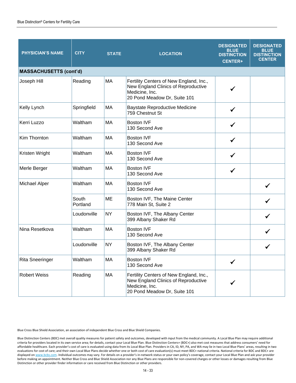| <b>PHYSICIAN'S NAME</b>       | <b>CITY</b>       | <b>STATE</b> | <b>LOCATION</b>                                                                                                                  | <b>DESIGNATED</b><br><b>BLUE</b><br><b>DISTINCTION</b><br><b>CENTER+</b> | <b>DESIGNATED</b><br><b>BLUE</b><br><b>DISTINCTION</b><br><b>CENTER</b> |
|-------------------------------|-------------------|--------------|----------------------------------------------------------------------------------------------------------------------------------|--------------------------------------------------------------------------|-------------------------------------------------------------------------|
| <b>MASSACHUSETTS (cont'd)</b> |                   |              |                                                                                                                                  |                                                                          |                                                                         |
| Joseph Hill                   | Reading           | MA           | Fertility Centers of New England, Inc.,<br>New England Clinics of Reproductive<br>Medicine, Inc.<br>20 Pond Meadow Dr, Suite 101 |                                                                          |                                                                         |
| Kelly Lynch                   | Springfield       | MA           | <b>Baystate Reproductive Medicine</b><br>759 Chestnut St                                                                         | ✔                                                                        |                                                                         |
| Kerri Luzzo                   | Waltham           | MA           | <b>Boston IVF</b><br>130 Second Ave                                                                                              |                                                                          |                                                                         |
| Kim Thornton                  | Waltham           | MA           | <b>Boston IVF</b><br>130 Second Ave                                                                                              |                                                                          |                                                                         |
| Kristen Wright                | Waltham           | <b>MA</b>    | <b>Boston IVF</b><br>130 Second Ave                                                                                              | $\checkmark$                                                             |                                                                         |
| Merle Berger                  | Waltham           | <b>MA</b>    | <b>Boston IVF</b><br>130 Second Ave                                                                                              |                                                                          |                                                                         |
| <b>Michael Alper</b>          | Waltham           | <b>MA</b>    | <b>Boston IVF</b><br>130 Second Ave                                                                                              |                                                                          |                                                                         |
|                               | South<br>Portland | <b>ME</b>    | Boston IVF, The Maine Center<br>778 Main St, Suite 2                                                                             |                                                                          |                                                                         |
|                               | Loudonville       | <b>NY</b>    | Boston IVF, The Albany Center<br>399 Albany Shaker Rd                                                                            |                                                                          |                                                                         |
| Nina Resetkova                | Waltham           | <b>MA</b>    | <b>Boston IVF</b><br>130 Second Ave                                                                                              |                                                                          |                                                                         |
|                               | Loudonville       | <b>NY</b>    | Boston IVF, The Albany Center<br>399 Albany Shaker Rd                                                                            |                                                                          |                                                                         |
| <b>Rita Sneeringer</b>        | Waltham           | MA           | <b>Boston IVF</b><br>130 Second Ave                                                                                              |                                                                          |                                                                         |
| <b>Robert Weiss</b>           | Reading           | MA           | Fertility Centers of New England, Inc.,<br>New England Clinics of Reproductive<br>Medicine, Inc.<br>20 Pond Meadow Dr, Suite 101 |                                                                          |                                                                         |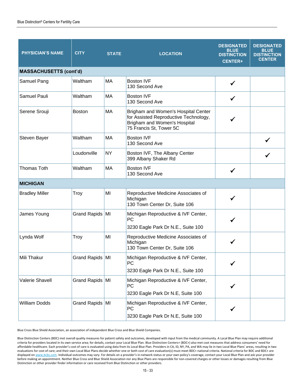| <b>PHYSICIAN'S NAME</b>       | <b>CITY</b>     | <b>STATE</b> | <b>LOCATION</b>                                                                                                                         | <b>DESIGNATED</b><br><b>BLUE</b><br><b>DISTINCTION</b><br><b>CENTER+</b> | <b>DESIGNATED</b><br><b>BLUE</b><br><b>DISTINCTION</b><br><b>CENTER</b> |
|-------------------------------|-----------------|--------------|-----------------------------------------------------------------------------------------------------------------------------------------|--------------------------------------------------------------------------|-------------------------------------------------------------------------|
| <b>MASSACHUSETTS (cont'd)</b> |                 |              |                                                                                                                                         |                                                                          |                                                                         |
| Samuel Pang                   | Waltham         | <b>MA</b>    | <b>Boston IVF</b><br>130 Second Ave                                                                                                     |                                                                          |                                                                         |
| Samuel Pauli                  | Waltham         | MA           | <b>Boston IVF</b><br>130 Second Ave                                                                                                     |                                                                          |                                                                         |
| Serene Srouji                 | <b>Boston</b>   | MA           | Brigham and Women's Hospital Center<br>for Assisted Reproductive Technology,<br>Brigham and Women's Hospital<br>75 Francis St, Tower 5C |                                                                          |                                                                         |
| Steven Bayer                  | Waltham         | MA           | <b>Boston IVF</b><br>130 Second Ave                                                                                                     |                                                                          |                                                                         |
|                               | Loudonville     | <b>NY</b>    | Boston IVF, The Albany Center<br>399 Albany Shaker Rd                                                                                   |                                                                          |                                                                         |
| <b>Thomas Toth</b>            | Waltham         | <b>MA</b>    | <b>Boston IVF</b><br>130 Second Ave                                                                                                     | $\checkmark$                                                             |                                                                         |
| <b>MICHIGAN</b>               |                 |              |                                                                                                                                         |                                                                          |                                                                         |
| <b>Bradley Miller</b>         | Troy            | MI           | Reproductive Medicine Associates of<br>Michigan<br>130 Town Center Dr, Suite 106                                                        |                                                                          |                                                                         |
| James Young                   | Grand Rapids MI |              | Michigan Reproductive & IVF Center,<br><b>PC</b><br>3230 Eagle Park Dr N.E., Suite 100                                                  |                                                                          |                                                                         |
| Lynda Wolf                    | Troy            | MI           | Reproductive Medicine Associates of<br>Michigan<br>130 Town Center Dr, Suite 106                                                        |                                                                          |                                                                         |
| Mili Thakur                   | Grand Rapids MI |              | Michigan Reproductive & IVF Center,<br><b>PC</b><br>3230 Eagle Park Dr N.E., Suite 100                                                  |                                                                          |                                                                         |
| Valerie Shavell               | Grand Rapids MI |              | Michigan Reproductive & IVF Center,<br><b>PC</b><br>3230 Eagle Park Dr N.E, Suite 100                                                   | ✔                                                                        |                                                                         |
| <b>William Dodds</b>          | Grand Rapids MI |              | Michigan Reproductive & IVF Center,<br><b>PC</b><br>3230 Eagle Park Dr N.E, Suite 100                                                   |                                                                          |                                                                         |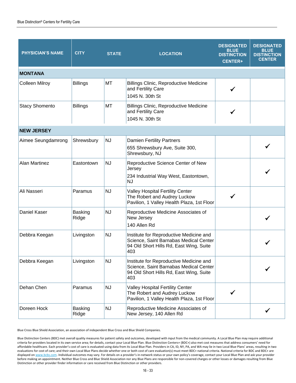| <b>PHYSICIAN'S NAME</b> | <b>CITY</b>             | <b>STATE</b> | <b>LOCATION</b>                                                                                                                     | <b>DESIGNATED</b><br><b>BLUE</b><br><b>DISTINCTION</b><br><b>CENTER+</b> | <b>DESIGNATED</b><br>BLUE<br><b>DISTINCTION</b><br><b>CENTER</b> |
|-------------------------|-------------------------|--------------|-------------------------------------------------------------------------------------------------------------------------------------|--------------------------------------------------------------------------|------------------------------------------------------------------|
| <b>MONTANA</b>          |                         |              |                                                                                                                                     |                                                                          |                                                                  |
| <b>Colleen Milroy</b>   | <b>Billings</b>         | MT           | <b>Billings Clinic, Reproductive Medicine</b><br>and Fertility Care<br>1045 N. 30th St                                              |                                                                          |                                                                  |
| <b>Stacy Shomento</b>   | <b>Billings</b>         | <b>MT</b>    | <b>Billings Clinic, Reproductive Medicine</b><br>and Fertility Care<br>1045 N. 30th St                                              |                                                                          |                                                                  |
| <b>NEW JERSEY</b>       |                         |              |                                                                                                                                     |                                                                          |                                                                  |
| Aimee Seungdamrong      | Shrewsbury              | <b>NJ</b>    | <b>Damien Fertility Partners</b><br>655 Shrewsbury Ave, Suite 300,<br>Shrewsbury, NJ                                                |                                                                          |                                                                  |
| <b>Alan Martinez</b>    | Eastontown              | <b>NJ</b>    | Reproductive Science Center of New<br>Jersey<br>234 Industrial Way West, Eastontown,<br><b>NJ</b>                                   |                                                                          |                                                                  |
| Ali Nasseri             | Paramus                 | <b>NJ</b>    | <b>Valley Hospital Fertility Center</b><br>The Robert and Audrey Luckow<br>Pavilion, 1 Valley Health Plaza, 1st Floor               |                                                                          |                                                                  |
| Daniel Kaser            | <b>Basking</b><br>Ridge | <b>NJ</b>    | Reproductive Medicine Associates of<br>New Jersey<br>140 Allen Rd                                                                   |                                                                          |                                                                  |
| Debbra Keegan           | Livingston              | <b>NJ</b>    | Institute for Reproductive Medicine and<br>Science, Saint Barnabas Medical Center<br>94 Old Short Hills Rd, East Wing, Suite<br>403 |                                                                          |                                                                  |
| Debbra Keegan           | Livingston              | <b>NJ</b>    | Institute for Reproductive Medicine and<br>Science, Saint Barnabas Medical Center<br>94 Old Short Hills Rd, East Wing, Suite<br>403 |                                                                          |                                                                  |
| Dehan Chen              | Paramus                 | <b>NJ</b>    | <b>Valley Hospital Fertility Center</b><br>The Robert and Audrey Luckow<br>Pavilion, 1 Valley Health Plaza, 1st Floor               |                                                                          |                                                                  |
| Doreen Hock             | Basking<br>Ridge        | <b>NJ</b>    | Reproductive Medicine Associates of<br>New Jersey, 140 Allen Rd                                                                     |                                                                          |                                                                  |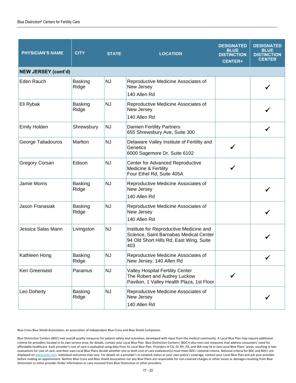| <b>PHYSICIAN'S NAME</b>    | <b>CITY</b>             | <b>STATE</b> | <b>LOCATION</b>                                                                                                                     | <b>DESIGNATED</b><br><b>BLUE</b><br><b>DISTINCTION</b><br><b>CENTER+</b> | <b>DESIGNATED</b><br><b>BLUE</b><br><b>DISTINCTION</b><br><b>CENTER</b> |
|----------------------------|-------------------------|--------------|-------------------------------------------------------------------------------------------------------------------------------------|--------------------------------------------------------------------------|-------------------------------------------------------------------------|
| <b>NEW JERSEY (cont'd)</b> |                         |              |                                                                                                                                     |                                                                          |                                                                         |
| Eden Rauch                 | <b>Basking</b><br>Ridge | <b>NJ</b>    | Reproductive Medicine Associates of<br>New Jersey<br>140 Allen Rd                                                                   |                                                                          |                                                                         |
| Eli Rybak                  | <b>Basking</b><br>Ridge | <b>NJ</b>    | Reproductive Medicine Associates of<br>New Jersey<br>140 Allen Rd                                                                   |                                                                          |                                                                         |
| <b>Emily Holden</b>        | Shrewsbury              | <b>NJ</b>    | <b>Damien Fertility Partners</b><br>655 Shrewsbury Ave, Suite 300                                                                   |                                                                          |                                                                         |
| George Taliadouros         | Marlton                 | <b>NJ</b>    | Delaware Valley Institute of Fertility and<br>Genetics<br>6000 Sagemore Dr, Suite 6102                                              |                                                                          |                                                                         |
| <b>Gregory Corsan</b>      | Edison                  | <b>NJ</b>    | Center for Advanced Reproductive<br>Medicine & Fertility<br>Four Ethel Rd, Suite 405A                                               |                                                                          |                                                                         |
| <b>Jamie Morris</b>        | <b>Basking</b><br>Ridge | <b>NJ</b>    | Reproductive Medicine Associates of<br>New Jersey<br>140 Allen Rd                                                                   |                                                                          |                                                                         |
| Jason Franasiak            | <b>Basking</b><br>Ridge | <b>NJ</b>    | Reproductive Medicine Associates of<br>New Jersey<br>140 Allen Rd                                                                   |                                                                          |                                                                         |
| Jessica Salas Mann         | Livingston              | <b>NJ</b>    | Institute for Reproductive Medicine and<br>Science, Saint Barnabas Medical Center<br>94 Old Short Hills Rd, East Wing, Suite<br>403 |                                                                          |                                                                         |
| Kathleen Hong              | Basking<br>Ridge        | <b>NJ</b>    | Reproductive Medicine Associates of<br>New Jersey, 140 Allen Rd                                                                     |                                                                          |                                                                         |
| Keri Greenseid             | Paramus                 | <b>NJ</b>    | Valley Hospital Fertility Center<br>The Robert and Audrey Luckow<br>Pavilion, 1 Valley Health Plaza, 1st Floor                      | $\checkmark$                                                             |                                                                         |
| Leo Doherty                | <b>Basking</b><br>Ridge | <b>NJ</b>    | Reproductive Medicine Associates of<br>New Jersey<br>140 Allen Rd                                                                   |                                                                          |                                                                         |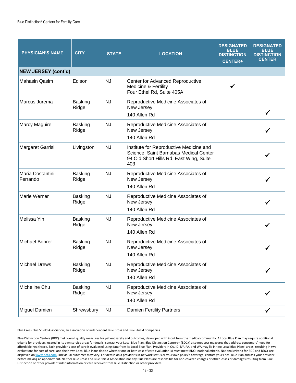| <b>PHYSICIAN'S NAME</b>       | <b>CITY</b>             | <b>STATE</b> | <b>LOCATION</b>                                                                                                                     | <b>DESIGNATED</b><br><b>BLUE</b><br><b>DISTINCTION</b><br><b>CENTER+</b> | <b>DESIGNATED</b><br><b>BLUE</b><br><b>DISTINCTION</b><br><b>CENTER</b> |
|-------------------------------|-------------------------|--------------|-------------------------------------------------------------------------------------------------------------------------------------|--------------------------------------------------------------------------|-------------------------------------------------------------------------|
| <b>NEW JERSEY (cont'd)</b>    |                         |              |                                                                                                                                     |                                                                          |                                                                         |
| <b>Mahasin Qasim</b>          | Edison                  | <b>NJ</b>    | Center for Advanced Reproductive<br>Medicine & Fertility<br>Four Ethel Rd, Suite 405A                                               |                                                                          |                                                                         |
| Marcus Jurema                 | <b>Basking</b><br>Ridge | <b>NJ</b>    | Reproductive Medicine Associates of<br>New Jersey<br>140 Allen Rd                                                                   |                                                                          |                                                                         |
| <b>Marcy Maguire</b>          | <b>Basking</b><br>Ridge | <b>NJ</b>    | Reproductive Medicine Associates of<br>New Jersey<br>140 Allen Rd                                                                   |                                                                          |                                                                         |
| Margaret Garrisi              | Livingston              | <b>NJ</b>    | Institute for Reproductive Medicine and<br>Science, Saint Barnabas Medical Center<br>94 Old Short Hills Rd, East Wing, Suite<br>403 |                                                                          |                                                                         |
| Maria Costantini-<br>Ferrando | <b>Basking</b><br>Ridge | <b>NJ</b>    | Reproductive Medicine Associates of<br>New Jersey<br>140 Allen Rd                                                                   |                                                                          |                                                                         |
| <b>Marie Werner</b>           | <b>Basking</b><br>Ridge | <b>NJ</b>    | Reproductive Medicine Associates of<br>New Jersey<br>140 Allen Rd                                                                   |                                                                          |                                                                         |
| Melissa Yih                   | <b>Basking</b><br>Ridge | <b>NJ</b>    | Reproductive Medicine Associates of<br>New Jersey<br>140 Allen Rd                                                                   |                                                                          |                                                                         |
| Michael Bohrer                | <b>Basking</b><br>Ridge | <b>NJ</b>    | Reproductive Medicine Associates of<br>New Jersey<br>140 Allen Rd                                                                   |                                                                          |                                                                         |
| <b>Michael Drews</b>          | <b>Basking</b><br>Ridge | <b>NJ</b>    | Reproductive Medicine Associates of<br>New Jersey<br>140 Allen Rd                                                                   |                                                                          |                                                                         |
| Micheline Chu                 | <b>Basking</b><br>Ridge | <b>NJ</b>    | Reproductive Medicine Associates of<br>New Jersey<br>140 Allen Rd                                                                   |                                                                          |                                                                         |
| Miguel Damien                 | Shrewsbury              | <b>NJ</b>    | <b>Damien Fertility Partners</b>                                                                                                    |                                                                          | $\checkmark$                                                            |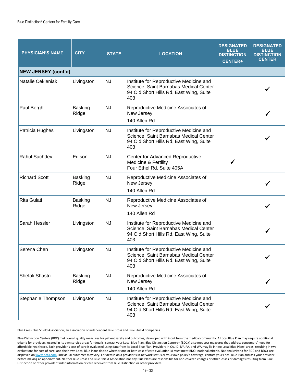| <b>PHYSICIAN'S NAME</b>    | <b>CITY</b>             | <b>STATE</b> | <b>LOCATION</b>                                                                                                                     | <b>DESIGNATED</b><br><b>BLUE</b><br><b>DISTINCTION</b><br><b>CENTER+</b> | <b>DESIGNATED</b><br><b>BLUE</b><br><b>DISTINCTION</b><br><b>CENTER</b> |
|----------------------------|-------------------------|--------------|-------------------------------------------------------------------------------------------------------------------------------------|--------------------------------------------------------------------------|-------------------------------------------------------------------------|
| <b>NEW JERSEY (cont'd)</b> |                         |              |                                                                                                                                     |                                                                          |                                                                         |
| Natalie Cekleniak          | Livingston              | <b>NJ</b>    | Institute for Reproductive Medicine and<br>Science, Saint Barnabas Medical Center<br>94 Old Short Hills Rd, East Wing, Suite<br>403 |                                                                          |                                                                         |
| Paul Bergh                 | <b>Basking</b><br>Ridge | <b>NJ</b>    | Reproductive Medicine Associates of<br>New Jersey<br>140 Allen Rd                                                                   |                                                                          |                                                                         |
| Patricia Hughes            | Livingston              | <b>NJ</b>    | Institute for Reproductive Medicine and<br>Science, Saint Barnabas Medical Center<br>94 Old Short Hills Rd, East Wing, Suite<br>403 |                                                                          |                                                                         |
| Rahul Sachdev              | Edison                  | <b>NJ</b>    | Center for Advanced Reproductive<br>Medicine & Fertility<br>Four Ethel Rd, Suite 405A                                               |                                                                          |                                                                         |
| <b>Richard Scott</b>       | <b>Basking</b><br>Ridge | <b>NJ</b>    | Reproductive Medicine Associates of<br>New Jersey<br>140 Allen Rd                                                                   |                                                                          |                                                                         |
| Rita Gulati                | <b>Basking</b><br>Ridge | <b>NJ</b>    | Reproductive Medicine Associates of<br>New Jersey<br>140 Allen Rd                                                                   |                                                                          |                                                                         |
| Sarah Hessler              | Livingston              | <b>NJ</b>    | Institute for Reproductive Medicine and<br>Science, Saint Barnabas Medical Center<br>94 Old Short Hills Rd, East Wing, Suite<br>403 |                                                                          |                                                                         |
| Serena Chen                | Livingston              | <b>NJ</b>    | Institute for Reproductive Medicine and<br>Science, Saint Barnabas Medical Center<br>94 Old Short Hills Rd, East Wing, Suite<br>403 |                                                                          |                                                                         |
| Shefali Shastri            | <b>Basking</b><br>Ridge | <b>NJ</b>    | Reproductive Medicine Associates of<br>New Jersey<br>140 Allen Rd                                                                   |                                                                          |                                                                         |
| Stephanie Thompson         | Livingston              | <b>NJ</b>    | Institute for Reproductive Medicine and<br>Science, Saint Barnabas Medical Center<br>94 Old Short Hills Rd, East Wing, Suite<br>403 |                                                                          |                                                                         |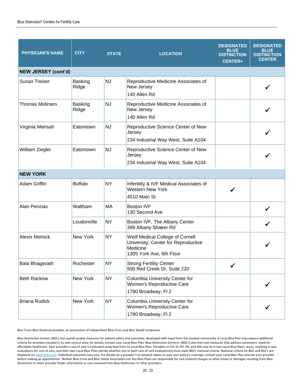| <b>PHYSICIAN'S NAME</b>    | <b>CITY</b>             | <b>STATE</b> | <b>LOCATION</b>                                                                                                 | <b>DESIGNATED</b><br><b>BLUE</b><br><b>DISTINCTION</b><br><b>CENTER+</b> | <b>DESIGNATED</b><br><b>BLUE</b><br><b>DISTINCTION</b><br><b>CENTER</b> |
|----------------------------|-------------------------|--------------|-----------------------------------------------------------------------------------------------------------------|--------------------------------------------------------------------------|-------------------------------------------------------------------------|
| <b>NEW JERSEY (cont'd)</b> |                         |              |                                                                                                                 |                                                                          |                                                                         |
| <b>Susan Treiser</b>       | <b>Basking</b><br>Ridge | <b>NJ</b>    | Reproductive Medicine Associates of<br>New Jersey<br>140 Allen Rd                                               |                                                                          |                                                                         |
| <b>Thomas Molinaro</b>     | <b>Basking</b><br>Ridge | <b>NJ</b>    | Reproductive Medicine Associates of<br>New Jersey<br>140 Allen Rd                                               |                                                                          |                                                                         |
| Virginia Mensah            | Eatontown               | <b>NJ</b>    | Reproductive Science Center of New<br>Jersey<br>234 Industrial Way West, Suite A104                             |                                                                          |                                                                         |
| William Ziegler            | Eatontown               | <b>NJ</b>    | Reproductive Science Center of New<br>Jersey<br>234 Industrial Way West, Suite A104                             |                                                                          |                                                                         |
| <b>NEW YORK</b>            |                         |              |                                                                                                                 |                                                                          |                                                                         |
| <b>Adam Griffin</b>        | <b>Buffalo</b>          | <b>NY</b>    | Infertility & IVF Medical Associates of<br><b>Western New York</b><br>4510 Main St                              |                                                                          |                                                                         |
| Alan Penzias               | Waltham                 | MA           | <b>Boston IVF</b><br>130 Second Ave                                                                             |                                                                          |                                                                         |
|                            | Loudonville             | <b>NY</b>    | Boston IVF, The Albany Center<br>399 Albany Shaker Rd                                                           |                                                                          |                                                                         |
| <b>Alexis Melnick</b>      | New York                | <b>NY</b>    | Weill Medical College of Cornell<br>University, Center for Reproductive<br>Medicine<br>1305 York Ave, 6th Floor |                                                                          |                                                                         |
| Bala Bhagavath             | Rochester               | <b>NY</b>    | <b>Strong Fertility Center</b><br>500 Red Creek Dr, Suite 220                                                   | ✔                                                                        |                                                                         |
| <b>Beth Rackow</b>         | New York                | <b>NY</b>    | Columbia University Center for<br>Women's Reproductive Care<br>1790 Broadway, FI 2                              |                                                                          |                                                                         |
| <b>Briana Rudick</b>       | New York                | <b>NY</b>    | Columbia University Center for<br>Women's Reproductive Care<br>1790 Broadway, FI 2                              |                                                                          |                                                                         |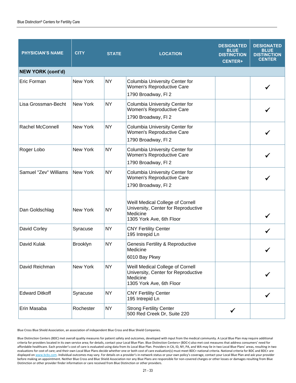| <b>PHYSICIAN'S NAME</b>  | <b>CITY</b>     | <b>STATE</b> | <b>LOCATION</b>                                                                                                 | <b>DESIGNATED</b><br><b>BLUE</b><br><b>DISTINCTION</b><br><b>CENTER+</b> | <b>DESIGNATED</b><br>BLUE<br><b>DISTINCTION</b><br><b>CENTER</b> |
|--------------------------|-----------------|--------------|-----------------------------------------------------------------------------------------------------------------|--------------------------------------------------------------------------|------------------------------------------------------------------|
| <b>NEW YORK (cont'd)</b> |                 |              |                                                                                                                 |                                                                          |                                                                  |
| Eric Forman              | <b>New York</b> | <b>NY</b>    | Columbia University Center for<br>Women's Reproductive Care<br>1790 Broadway, FI 2                              |                                                                          |                                                                  |
| Lisa Grossman-Becht      | <b>New York</b> | <b>NY</b>    | Columbia University Center for<br>Women's Reproductive Care<br>1790 Broadway, FI 2                              |                                                                          |                                                                  |
| <b>Rachel McConnell</b>  | <b>New York</b> | <b>NY</b>    | Columbia University Center for<br>Women's Reproductive Care<br>1790 Broadway, FI 2                              |                                                                          |                                                                  |
| Roger Lobo               | New York        | <b>NY</b>    | Columbia University Center for<br>Women's Reproductive Care<br>1790 Broadway, FI 2                              |                                                                          |                                                                  |
| Samuel "Zev" Williams    | <b>New York</b> | <b>NY</b>    | Columbia University Center for<br>Women's Reproductive Care<br>1790 Broadway, FI 2                              |                                                                          |                                                                  |
| Dan Goldschlag           | New York        | <b>NY</b>    | Weill Medical College of Cornell<br>University, Center for Reproductive<br>Medicine<br>1305 York Ave, 6th Floor |                                                                          |                                                                  |
| David Corley             | Syracuse        | <b>NY</b>    | <b>CNY Fertility Center</b><br>195 Intrepid Ln                                                                  |                                                                          |                                                                  |
| David Kulak              | <b>Brooklyn</b> | <b>NY</b>    | Genesis Fertility & Reproductive<br>Medicine<br>6010 Bay Pkwy                                                   |                                                                          |                                                                  |
| David Reichman           | New York        | <b>NY</b>    | Weill Medical College of Cornell<br>University, Center for Reproductive<br>Medicine<br>1305 York Ave, 6th Floor |                                                                          |                                                                  |
| <b>Edward Ditkoff</b>    | Syracuse        | <b>NY</b>    | <b>CNY Fertility Center</b><br>195 Intrepid Ln                                                                  |                                                                          |                                                                  |
| Erin Masaba              | Rochester       | <b>NY</b>    | <b>Strong Fertility Center</b><br>500 Red Creek Dr, Suite 220                                                   | $\checkmark$                                                             |                                                                  |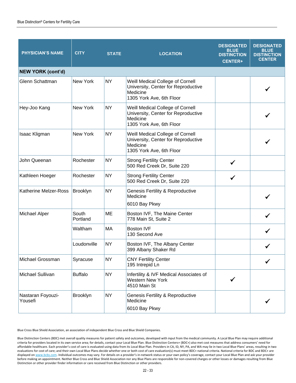| <b>PHYSICIAN'S NAME</b>      | <b>CITY</b>       | <b>STATE</b> | <b>LOCATION</b>                                                                                                 | <b>DESIGNATED</b><br><b>BLUE</b><br><b>DISTINCTION</b><br><b>CENTER+</b> | <b>DESIGNATED</b><br>BLUE<br><b>DISTINCTION</b><br><b>CENTER</b> |
|------------------------------|-------------------|--------------|-----------------------------------------------------------------------------------------------------------------|--------------------------------------------------------------------------|------------------------------------------------------------------|
| <b>NEW YORK (cont'd)</b>     |                   |              |                                                                                                                 |                                                                          |                                                                  |
| Glenn Schattman              | <b>New York</b>   | <b>NY</b>    | Weill Medical College of Cornell<br>University, Center for Reproductive<br>Medicine<br>1305 York Ave, 6th Floor |                                                                          |                                                                  |
| Hey-Joo Kang                 | <b>New York</b>   | <b>NY</b>    | Weill Medical College of Cornell<br>University, Center for Reproductive<br>Medicine<br>1305 York Ave, 6th Floor |                                                                          |                                                                  |
| <b>Isaac Kligman</b>         | <b>New York</b>   | <b>NY</b>    | Weill Medical College of Cornell<br>University, Center for Reproductive<br>Medicine<br>1305 York Ave, 6th Floor |                                                                          |                                                                  |
| John Queenan                 | Rochester         | <b>NY</b>    | <b>Strong Fertility Center</b><br>500 Red Creek Dr, Suite 220                                                   |                                                                          |                                                                  |
| Kathleen Hoeger              | Rochester         | <b>NY</b>    | <b>Strong Fertility Center</b><br>500 Red Creek Dr, Suite 220                                                   |                                                                          |                                                                  |
| Katherine Melzer-Ross        | Brooklyn          | <b>NY</b>    | Genesis Fertility & Reproductive<br>Medicine<br>6010 Bay Pkwy                                                   |                                                                          |                                                                  |
| Michael Alper                | South<br>Portland | ME           | Boston IVF, The Maine Center<br>778 Main St, Suite 2                                                            |                                                                          |                                                                  |
|                              | Waltham           | MA           | <b>Boston IVF</b><br>130 Second Ave                                                                             |                                                                          |                                                                  |
|                              | Loudonville       | <b>NY</b>    | Boston IVF, The Albany Center<br>399 Albany Shaker Rd                                                           |                                                                          |                                                                  |
| Michael Grossman             | Syracuse          | <b>NY</b>    | <b>CNY Fertility Center</b><br>195 Intrepid Ln                                                                  |                                                                          |                                                                  |
| Michael Sullivan             | <b>Buffalo</b>    | <b>NY</b>    | Infertility & IVF Medical Associates of<br><b>Western New York</b><br>4510 Main St                              |                                                                          |                                                                  |
| Nastaran Foyouzi-<br>Yousefi | Brooklyn          | <b>NY</b>    | <b>Genesis Fertility &amp; Reproductive</b><br>Medicine<br>6010 Bay Pkwy                                        |                                                                          |                                                                  |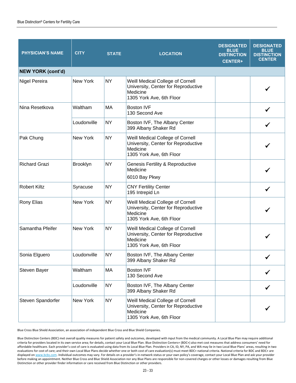| <b>PHYSICIAN'S NAME</b>  | <b>CITY</b>     | <b>STATE</b> | <b>LOCATION</b>                                                                                                 | <b>DESIGNATED</b><br><b>BLUE</b><br><b>DISTINCTION</b><br><b>CENTER+</b> | <b>DESIGNATED</b><br><b>BLUE</b><br><b>DISTINCTION</b><br><b>CENTER</b> |
|--------------------------|-----------------|--------------|-----------------------------------------------------------------------------------------------------------------|--------------------------------------------------------------------------|-------------------------------------------------------------------------|
| <b>NEW YORK (cont'd)</b> |                 |              |                                                                                                                 |                                                                          |                                                                         |
| Nigel Pereira            | New York        | <b>NY</b>    | Weill Medical College of Cornell<br>University, Center for Reproductive<br>Medicine<br>1305 York Ave, 6th Floor |                                                                          |                                                                         |
| Nina Resetkova           | Waltham         | MA           | <b>Boston IVF</b><br>130 Second Ave                                                                             |                                                                          |                                                                         |
|                          | Loudonville     | <b>NY</b>    | Boston IVF, The Albany Center<br>399 Albany Shaker Rd                                                           |                                                                          |                                                                         |
| Pak Chung                | New York        | <b>NY</b>    | Weill Medical College of Cornell<br>University, Center for Reproductive<br>Medicine<br>1305 York Ave, 6th Floor |                                                                          |                                                                         |
| <b>Richard Grazi</b>     | <b>Brooklyn</b> | <b>NY</b>    | Genesis Fertility & Reproductive<br>Medicine<br>6010 Bay Pkwy                                                   |                                                                          |                                                                         |
| Robert Kiltz             | Syracuse        | <b>NY</b>    | <b>CNY Fertility Center</b><br>195 Intrepid Ln                                                                  |                                                                          |                                                                         |
| <b>Rony Elias</b>        | New York        | <b>NY</b>    | Weill Medical College of Cornell<br>University, Center for Reproductive<br>Medicine<br>1305 York Ave, 6th Floor |                                                                          |                                                                         |
| Samantha Pfeifer         | New York        | <b>NY</b>    | Weill Medical College of Cornell<br>University, Center for Reproductive<br>Medicine<br>1305 York Ave, 6th Floor |                                                                          |                                                                         |
| Sonia Elguero            | Loudonville     | <b>NY</b>    | Boston IVF, The Albany Center<br>399 Albany Shaker Rd                                                           |                                                                          |                                                                         |
| Steven Bayer             | Waltham         | МA           | <b>Boston IVF</b><br>130 Second Ave                                                                             |                                                                          |                                                                         |
|                          | Loudonville     | <b>NY</b>    | Boston IVF, The Albany Center<br>399 Albany Shaker Rd                                                           |                                                                          |                                                                         |
| Steven Spandorfer        | New York        | <b>NY</b>    | Weill Medical College of Cornell<br>University, Center for Reproductive<br>Medicine<br>1305 York Ave, 6th Floor |                                                                          |                                                                         |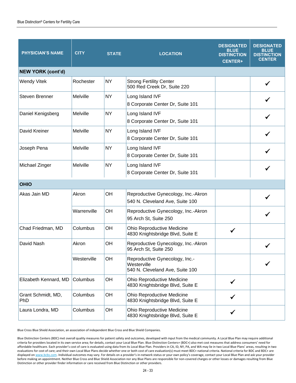| <b>PHYSICIAN'S NAME</b>   | <b>CITY</b> | <b>STATE</b> | <b>LOCATION</b>                                                                  | <b>DESIGNATED</b><br><b>BLUE</b><br><b>DISTINCTION</b><br><b>CENTER+</b> | <b>DESIGNATED</b><br><b>BLUE</b><br><b>DISTINCTION</b><br><b>CENTER</b> |
|---------------------------|-------------|--------------|----------------------------------------------------------------------------------|--------------------------------------------------------------------------|-------------------------------------------------------------------------|
| <b>NEW YORK (cont'd)</b>  |             |              |                                                                                  |                                                                          |                                                                         |
| <b>Wendy Vitek</b>        | Rochester   | <b>NY</b>    | <b>Strong Fertility Center</b><br>500 Red Creek Dr, Suite 220                    |                                                                          |                                                                         |
| <b>Steven Brenner</b>     | Melville    | <b>NY</b>    | Long Island IVF<br>8 Corporate Center Dr, Suite 101                              |                                                                          |                                                                         |
| Daniel Kenigsberg         | Melville    | <b>NY</b>    | Long Island IVF<br>8 Corporate Center Dr, Suite 101                              |                                                                          |                                                                         |
| David Kreiner             | Melville    | <b>NY</b>    | Long Island IVF<br>8 Corporate Center Dr, Suite 101                              |                                                                          |                                                                         |
| Joseph Pena               | Melville    | <b>NY</b>    | Long Island IVF<br>8 Corporate Center Dr, Suite 101                              |                                                                          |                                                                         |
| Michael Zinger            | Melville    | <b>NY</b>    | Long Island IVF<br>8 Corporate Center Dr, Suite 101                              |                                                                          |                                                                         |
| <b>OHIO</b>               |             |              |                                                                                  |                                                                          |                                                                         |
| Akas Jain MD              | Akron       | OH           | Reproductive Gynecology, Inc.-Akron<br>540 N. Cleveland Ave, Suite 100           |                                                                          |                                                                         |
|                           | Warrenville | OH           | Reproductive Gynecology, Inc.-Akron<br>95 Arch St, Suite 250                     |                                                                          |                                                                         |
| Chad Friedman, MD         | Columbus    | OH           | Ohio Reproductive Medicine<br>4830 Knightsbridge Blvd, Suite E                   |                                                                          |                                                                         |
| David Nash                | Akron       | OH           | Reproductive Gynecology, Inc.-Akron<br>95 Arch St, Suite 250                     |                                                                          |                                                                         |
|                           | Westerville | OH           | Reproductive Gynecology, Inc.-<br>Westerville<br>540 N. Cleveland Ave, Suite 100 |                                                                          |                                                                         |
| Elizabeth Kennard, MD     | Columbus    | OH           | Ohio Reproductive Medicine<br>4830 Knightsbridge Blvd, Suite E                   | $\checkmark$                                                             |                                                                         |
| Grant Schmidt, MD,<br>PhD | Columbus    | OH           | <b>Ohio Reproductive Medicine</b><br>4830 Knightsbridge Blvd, Suite E            | ✓                                                                        |                                                                         |
| Laura Londra, MD          | Columbus    | OH           | Ohio Reproductive Medicine<br>4830 Knightsbridge Blvd, Suite E                   | ✔                                                                        |                                                                         |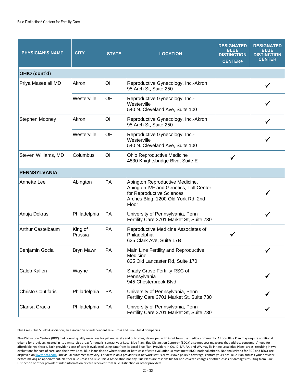| <b>PHYSICIAN'S NAME</b>   | <b>CITY</b>        | <b>STATE</b> | <b>LOCATION</b>                                                                                                                                       | <b>DESIGNATED</b><br><b>BLUE</b><br><b>DISTINCTION</b><br><b>CENTER+</b> | <b>DESIGNATED</b><br><b>BLUE</b><br><b>DISTINCTION</b><br><b>CENTER</b> |
|---------------------------|--------------------|--------------|-------------------------------------------------------------------------------------------------------------------------------------------------------|--------------------------------------------------------------------------|-------------------------------------------------------------------------|
| OHIO (cont'd)             |                    |              |                                                                                                                                                       |                                                                          |                                                                         |
| Priya Maseelall MD        | Akron              | OH           | Reproductive Gynecology, Inc.-Akron<br>95 Arch St, Suite 250                                                                                          |                                                                          | ✔                                                                       |
|                           | Westerville        | OH           | Reproductive Gynecology, Inc.-<br>Westerville<br>540 N. Cleveland Ave, Suite 100                                                                      |                                                                          |                                                                         |
| Stephen Mooney            | Akron              | OH           | Reproductive Gynecology, Inc.-Akron<br>95 Arch St, Suite 250                                                                                          |                                                                          |                                                                         |
|                           | Westerville        | OH           | Reproductive Gynecology, Inc.-<br>Westerville<br>540 N. Cleveland Ave, Suite 100                                                                      |                                                                          |                                                                         |
| Steven Williams, MD       | Columbus           | OH           | Ohio Reproductive Medicine<br>4830 Knightsbridge Blvd, Suite E                                                                                        |                                                                          |                                                                         |
| <b>PENNSYLVANIA</b>       |                    |              |                                                                                                                                                       |                                                                          |                                                                         |
| Annette Lee               | Abington           | PA           | Abington Reproductive Medicine,<br>Abington IVF and Genetics, Toll Center<br>for Reproductive Sciences<br>Arches Bldg, 1200 Old York Rd, 2nd<br>Floor |                                                                          |                                                                         |
| Anuja Dokras              | Philadelphia       | PA           | University of Pennsylvania, Penn<br>Fertility Care 3701 Market St, Suite 730                                                                          |                                                                          | ✔                                                                       |
| Arthur Castelbaum         | King of<br>Prussia | PA           | Reproductive Medicine Associates of<br>Philadelphia<br>625 Clark Ave, Suite 17B                                                                       | ✔                                                                        |                                                                         |
| Benjamin Gocial           | <b>Bryn Mawr</b>   | PA           | Main Line Fertility and Reproductive<br>Medicine<br>825 Old Lancaster Rd, Suite 170                                                                   |                                                                          |                                                                         |
| Caleb Kallen              | Wayne              | PA           | Shady Grove Fertility RSC of<br>Pennsylvania<br>945 Chesterbrook Blvd                                                                                 |                                                                          |                                                                         |
| <b>Christo Coutifaris</b> | Philadelphia       | PA           | University of Pennsylvania, Penn<br>Fertility Care 3701 Market St, Suite 730                                                                          |                                                                          |                                                                         |
| Clarisa Gracia            | Philadelphia       | PA           | University of Pennsylvania, Penn<br>Fertility Care 3701 Market St, Suite 730                                                                          |                                                                          |                                                                         |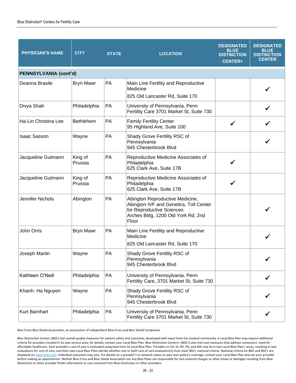| <b>PHYSICIAN'S NAME</b> | <b>CITY</b>        | <b>STATE</b> | <b>LOCATION</b>                                                                                                                                       | <b>DESIGNATED</b><br><b>BLUE</b><br><b>DISTINCTION</b><br><b>CENTER+</b> | <b>DESIGNATED</b><br><b>BLUE</b><br><b>DISTINCTION</b><br><b>CENTER</b> |
|-------------------------|--------------------|--------------|-------------------------------------------------------------------------------------------------------------------------------------------------------|--------------------------------------------------------------------------|-------------------------------------------------------------------------|
| PENNSYLVANIA (cont'd)   |                    |              |                                                                                                                                                       |                                                                          |                                                                         |
| Deanna Brasile          | Bryn Mawr          | PA           | Main Line Fertility and Reproductive<br>Medicine<br>825 Old Lancaster Rd, Suite 170                                                                   |                                                                          |                                                                         |
| Divya Shah              | Philadelphia       | PA           | University of Pennsylvania, Penn<br>Fertility Care 3701 Market St, Suite 730                                                                          |                                                                          |                                                                         |
| Ha-Lin Christina Lee    | <b>Bethlehem</b>   | PA           | <b>Family Fertility Center</b><br>95 Highland Ave, Suite 100                                                                                          |                                                                          |                                                                         |
| <b>Isaac Sasson</b>     | Wayne              | PA           | Shady Grove Fertility RSC of<br>Pennsylvania<br>945 Chesterbrook Blvd                                                                                 |                                                                          |                                                                         |
| Jacqueline Gutmann      | King of<br>Prussia | PA           | Reproductive Medicine Associates of<br>Philadelphia<br>625 Clark Ave, Suite 17B                                                                       |                                                                          |                                                                         |
| Jacqueline Gutmann      | King of<br>Prussia | PA           | Reproductive Medicine Associates of<br>Philadelphia<br>625 Clark Ave, Suite 17B                                                                       |                                                                          |                                                                         |
| <b>Jennifer Nichols</b> | Abington           | PA           | Abington Reproductive Medicine,<br>Abington IVF and Genetics, Toll Center<br>for Reproductive Sciences<br>Arches Bldg, 1200 Old York Rd, 2nd<br>Floor |                                                                          |                                                                         |
| <b>John Orris</b>       | Bryn Mawr          | PA           | Main Line Fertility and Reproductive<br>Medicine<br>825 Old Lancaster Rd, Suite 170                                                                   |                                                                          |                                                                         |
| Joseph Martin           | Wayne              | PA           | Shady Grove Fertility RSC of<br>Pennsylvania<br>945 Chesterbrook Blvd                                                                                 |                                                                          |                                                                         |
| Kathleen O'Neill        | Philadelphia       | PA           | University of Pennsylvania, Penn<br>Fertility Care, 3701 Market St, Suite 730                                                                         |                                                                          |                                                                         |
| Khanh- Ha Nguyen        | Wayne              | PA           | Shady Grove Fertility RSC of<br>Pennsylvania<br>945 Chesterbrook Blvd                                                                                 |                                                                          |                                                                         |
| <b>Kurt Barnhart</b>    | Philadelphia       | PA           | University of Pennsylvania, Penn<br>Fertility Care 3701 Market St, Suite 730                                                                          |                                                                          |                                                                         |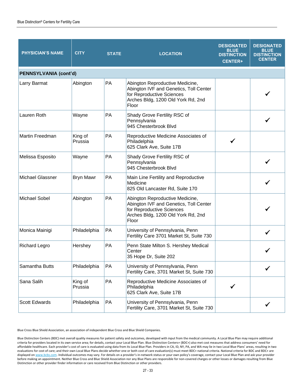| <b>PHYSICIAN'S NAME</b> | <b>CITY</b>        | <b>STATE</b> | <b>LOCATION</b>                                                                                                                                       | <b>DESIGNATED</b><br><b>BLUE</b><br><b>DISTINCTION</b><br><b>CENTER+</b> | <b>DESIGNATED</b><br><b>BLUE</b><br><b>DISTINCTION</b><br><b>CENTER</b> |
|-------------------------|--------------------|--------------|-------------------------------------------------------------------------------------------------------------------------------------------------------|--------------------------------------------------------------------------|-------------------------------------------------------------------------|
| PENNSYLVANIA (cont'd)   |                    |              |                                                                                                                                                       |                                                                          |                                                                         |
| <b>Larry Barmat</b>     | Abington           | PA           | Abington Reproductive Medicine,<br>Abington IVF and Genetics, Toll Center<br>for Reproductive Sciences<br>Arches Bldg, 1200 Old York Rd, 2nd<br>Floor |                                                                          |                                                                         |
| Lauren Roth             | Wayne              | PA           | Shady Grove Fertility RSC of<br>Pennsylvania<br>945 Chesterbrook Blvd                                                                                 |                                                                          |                                                                         |
| Martin Freedman         | King of<br>Prussia | PA           | Reproductive Medicine Associates of<br>Philadelphia<br>625 Clark Ave, Suite 17B                                                                       |                                                                          |                                                                         |
| Melissa Esposito        | Wayne              | PA           | Shady Grove Fertility RSC of<br>Pennsylvania<br>945 Chesterbrook Blvd                                                                                 |                                                                          |                                                                         |
| Michael Glassner        | Bryn Mawr          | PA           | Main Line Fertility and Reproductive<br>Medicine<br>825 Old Lancaster Rd, Suite 170                                                                   |                                                                          |                                                                         |
| Michael Sobel           | Abington           | PA           | Abington Reproductive Medicine,<br>Abington IVF and Genetics, Toll Center<br>for Reproductive Sciences<br>Arches Bldg, 1200 Old York Rd, 2nd<br>Floor |                                                                          |                                                                         |
| Monica Mainigi          | Philadelphia       | PA           | University of Pennsylvania, Penn<br>Fertility Care 3701 Market St, Suite 730                                                                          |                                                                          |                                                                         |
| <b>Richard Legro</b>    | Hershey            | PA           | Penn State Milton S. Hershey Medical<br>Center<br>35 Hope Dr, Suite 202                                                                               |                                                                          |                                                                         |
| Samantha Butts          | Philadelphia       | PA           | University of Pennsylvania, Penn<br>Fertility Care, 3701 Market St, Suite 730                                                                         |                                                                          |                                                                         |
| Sana Salih              | King of<br>Prussia | PA           | Reproductive Medicine Associates of<br>Philadelphia<br>625 Clark Ave, Suite 17B                                                                       |                                                                          |                                                                         |
| <b>Scott Edwards</b>    | Philadelphia       | PA           | University of Pennsylvania, Penn<br>Fertility Care, 3701 Market St, Suite 730                                                                         |                                                                          |                                                                         |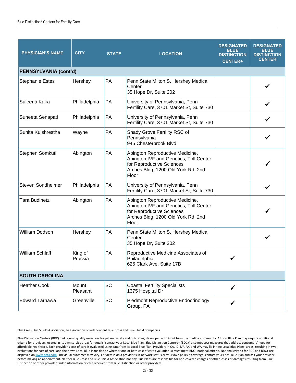| <b>PHYSICIAN'S NAME</b> | <b>CITY</b>        | <b>STATE</b> | <b>LOCATION</b>                                                                                                                                       | <b>DESIGNATED</b><br><b>BLUE</b><br><b>DISTINCTION</b><br><b>CENTER+</b> | <b>DESIGNATED</b><br><b>BLUE</b><br><b>DISTINCTION</b><br><b>CENTER</b> |
|-------------------------|--------------------|--------------|-------------------------------------------------------------------------------------------------------------------------------------------------------|--------------------------------------------------------------------------|-------------------------------------------------------------------------|
| PENNSYLVANIA (cont'd)   |                    |              |                                                                                                                                                       |                                                                          |                                                                         |
| <b>Stephanie Estes</b>  | Hershey            | PA           | Penn State Milton S. Hershey Medical<br>Center<br>35 Hope Dr, Suite 202                                                                               |                                                                          |                                                                         |
| Suleena Kalra           | Philadelphia       | PA           | University of Pennsylvania, Penn<br>Fertility Care, 3701 Market St, Suite 730                                                                         |                                                                          |                                                                         |
| Suneeta Senapati        | Philadelphia       | PA           | University of Pennsylvania, Penn<br>Fertility Care, 3701 Market St, Suite 730                                                                         |                                                                          |                                                                         |
| Sunita Kulshrestha      | Wayne              | PA           | Shady Grove Fertility RSC of<br>Pennsylvania<br>945 Chesterbrook Blvd                                                                                 |                                                                          |                                                                         |
| Stephen Somkuti         | Abington           | PA           | Abington Reproductive Medicine,<br>Abington IVF and Genetics, Toll Center<br>for Reproductive Sciences<br>Arches Bldg, 1200 Old York Rd, 2nd<br>Floor |                                                                          |                                                                         |
| Steven Sondheimer       | Philadelphia       | PA           | University of Pennsylvania, Penn<br>Fertility Care, 3701 Market St, Suite 730                                                                         |                                                                          |                                                                         |
| <b>Tara Budinetz</b>    | Abington           | PA           | Abington Reproductive Medicine,<br>Abington IVF and Genetics, Toll Center<br>for Reproductive Sciences<br>Arches Bldg, 1200 Old York Rd, 2nd<br>Floor |                                                                          |                                                                         |
| William Dodson          | Hershey            | PA           | Penn State Milton S. Hershey Medical<br>Center<br>35 Hope Dr, Suite 202                                                                               |                                                                          |                                                                         |
| <b>William Schlaff</b>  | King of<br>Prussia | PA           | Reproductive Medicine Associates of<br>Philadelphia<br>625 Clark Ave, Suite 17B                                                                       |                                                                          |                                                                         |
| <b>SOUTH CAROLINA</b>   |                    |              |                                                                                                                                                       |                                                                          |                                                                         |
| <b>Heather Cook</b>     | Mount<br>Pleasant  | <b>SC</b>    | <b>Coastal Fertility Specialists</b><br>1375 Hospital Dr                                                                                              | $\checkmark$                                                             |                                                                         |
| <b>Edward Tarnawa</b>   | Greenville         | <b>SC</b>    | <b>Piedmont Reproductive Endocrinology</b><br>Group, PA                                                                                               |                                                                          |                                                                         |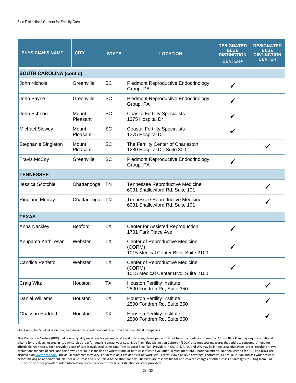| <b>PHYSICIAN'S NAME</b>        | <b>CITY</b>       | <b>STATE</b> | <b>LOCATION</b>                                                                   | <b>DESIGNATED</b><br><b>BLUE</b><br><b>DISTINCTION</b><br><b>CENTER+</b> | <b>DESIGNATED</b><br><b>BLUE</b><br><b>DISTINCTION</b><br><b>CENTER</b> |
|--------------------------------|-------------------|--------------|-----------------------------------------------------------------------------------|--------------------------------------------------------------------------|-------------------------------------------------------------------------|
| <b>SOUTH CAROLINA (cont'd)</b> |                   |              |                                                                                   |                                                                          |                                                                         |
| <b>John Nichols</b>            | Greenville        | <b>SC</b>    | <b>Piedmont Reproductive Endocrinology</b><br>Group, PA                           | ✔                                                                        |                                                                         |
| John Payne                     | Greenville        | <b>SC</b>    | <b>Piedmont Reproductive Endocrinology</b><br>Group, PA                           |                                                                          |                                                                         |
| John Schnorr                   | Mount<br>Pleasant | <b>SC</b>    | <b>Coastal Fertility Specialists</b><br>1375 Hospital Dr                          | ✔                                                                        |                                                                         |
| <b>Michael Slowey</b>          | Mount<br>Pleasant | <b>SC</b>    | <b>Coastal Fertility Specialists</b><br>1375 Hospital Dr                          |                                                                          |                                                                         |
| Stephanie Singleton            | Mount<br>Pleasant | <b>SC</b>    | The Fertility Center of Charleston<br>1280 Hospital Dr, Suite 300                 |                                                                          |                                                                         |
| <b>Travis McCoy</b>            | Greenville        | <b>SC</b>    | <b>Piedmont Reproductive Endocrinology</b><br>Group, PA                           | $\checkmark$                                                             |                                                                         |
| <b>TENNESSEE</b>               |                   |              |                                                                                   |                                                                          |                                                                         |
| Jessica Scotchie               | Chattanooga       | TΝ           | <b>Tennessee Reproductive Medicine</b><br>6031 Shallowford Rd, Suite 101          |                                                                          |                                                                         |
| <b>Ringland Murray</b>         | Chattanooga       | ΤN           | Tennessee Reproductive Medicine<br>6031 Shallowford Rd, Suite 101                 |                                                                          |                                                                         |
| <b>TEXAS</b>                   |                   |              |                                                                                   |                                                                          |                                                                         |
| Anna Nackley                   | <b>Bedford</b>    | <b>TX</b>    | Center for Assisted Reproduction<br>1701 Park Place Ave                           | ✔                                                                        |                                                                         |
| Anupama Kathiresan             | Webster           | ТX           | Center of Reproductive Medicine<br>(CORM)<br>1015 Medical Center Blvd, Suite 2100 |                                                                          |                                                                         |
| <b>Candice Perfetto</b>        | Webster           | TX           | Center of Reproductive Medicine<br>(CORM)<br>1015 Medical Center Blvd, Suite 2100 |                                                                          |                                                                         |
| Craig Witz                     | Houston           | TX           | <b>Houston Fertility Institute</b><br>2500 Fondren Rd, Suite 350                  |                                                                          |                                                                         |
| Daniel Williams                | Houston           | TX           | <b>Houston Fertility Institute</b><br>2500 Fondren Rd, Suite 350                  |                                                                          |                                                                         |
| Ghassan Haddad                 | Houston           | <b>TX</b>    | <b>Houston Fertility Institute</b><br>2500 Fondren Rd, Suite 350                  |                                                                          |                                                                         |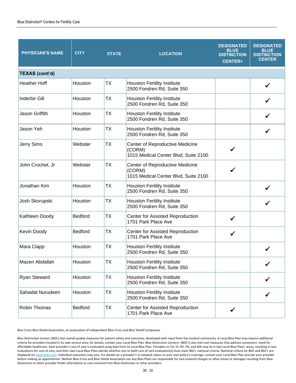| <b>PHYSICIAN'S NAME</b> | <b>CITY</b>    | <b>STATE</b> | <b>LOCATION</b>                                                                   | <b>DESIGNATED</b><br><b>BLUE</b><br><b>DISTINCTION</b><br><b>CENTER+</b> | <b>DESIGNATED</b><br><b>BLUE</b><br><b>DISTINCTION</b><br><b>CENTER</b> |
|-------------------------|----------------|--------------|-----------------------------------------------------------------------------------|--------------------------------------------------------------------------|-------------------------------------------------------------------------|
| <b>TEXAS (cont'd)</b>   |                |              |                                                                                   |                                                                          |                                                                         |
| <b>Heather Hoff</b>     | Houston        | <b>TX</b>    | <b>Houston Fertility Institute</b><br>2500 Fondren Rd, Suite 350                  |                                                                          |                                                                         |
| <b>Inderbir Gill</b>    | Houston        | TX           | <b>Houston Fertility Institute</b><br>2500 Fondren Rd, Suite 350                  |                                                                          |                                                                         |
| Jason Griffith          | Houston        | <b>TX</b>    | <b>Houston Fertility Institute</b><br>2500 Fondren Rd, Suite 350                  |                                                                          |                                                                         |
| Jason Yeh               | Houston        | <b>TX</b>    | <b>Houston Fertility Institute</b><br>2500 Fondren Rd, Suite 350                  |                                                                          |                                                                         |
| Jerry Sims              | Webster        | <b>TX</b>    | Center of Reproductive Medicine<br>(CORM)<br>1015 Medical Center Blvd, Suite 2100 |                                                                          |                                                                         |
| John Crochet, Jr        | Webster        | TX           | Center of Reproductive Medicine<br>(CORM)<br>1015 Medical Center Blvd, Suite 2100 |                                                                          |                                                                         |
| Jonathan Kim            | Houston        | <b>TX</b>    | <b>Houston Fertility Institute</b><br>2500 Fondren Rd, Suite 350                  |                                                                          |                                                                         |
| Josh Skorupski          | Houston        | <b>TX</b>    | <b>Houston Fertility Institute</b><br>2500 Fondren Rd, Suite 350                  |                                                                          |                                                                         |
| Kathleen Doody          | <b>Bedford</b> | <b>TX</b>    | Center for Assisted Reproduction<br>1701 Park Place Ave                           | ✔                                                                        |                                                                         |
| Kevin Doody             | <b>Bedford</b> | TX           | <b>Center for Assisted Reproduction</b><br>1701 Park Place Ave                    |                                                                          |                                                                         |
| Mara Clapp              | Houston        | TX           | <b>Houston Fertility Institute</b><br>2500 Fondren Rd, Suite 350                  |                                                                          |                                                                         |
| Mazen Abdallah          | Houston        | <b>TX</b>    | <b>Houston Fertility Institute</b><br>2500 Fondren Rd, Suite 350                  |                                                                          |                                                                         |
| Ryan Steward            | Houston        | TX           | <b>Houston Fertility Institute</b><br>2500 Fondren Rd, Suite 350                  |                                                                          |                                                                         |
| Sahadat Nurudeen        | Houston        | <b>TX</b>    | <b>Houston Fertility Institute</b><br>2500 Fondren Rd, Suite 350                  |                                                                          |                                                                         |
| Robin Thomas            | Bedford        | TX           | Center for Assisted Reproduction<br>1701 Park Place Ave                           | $\checkmark$                                                             |                                                                         |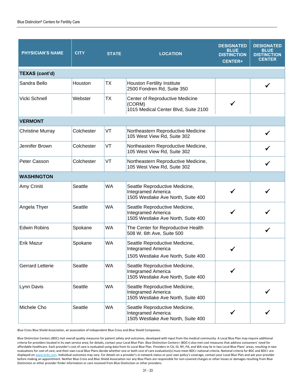| <b>PHYSICIAN'S NAME</b> | <b>CITY</b> | <b>STATE</b> | <b>LOCATION</b>                                                                                   | <b>DESIGNATED</b><br><b>BLUE</b><br><b>DISTINCTION</b><br><b>CENTER+</b> | <b>DESIGNATED</b><br><b>BLUE</b><br><b>DISTINCTION</b><br><b>CENTER</b> |
|-------------------------|-------------|--------------|---------------------------------------------------------------------------------------------------|--------------------------------------------------------------------------|-------------------------------------------------------------------------|
| <b>TEXAS (cont'd)</b>   |             |              |                                                                                                   |                                                                          |                                                                         |
| Sandra Bello            | Houston     | <b>TX</b>    | <b>Houston Fertility Institute</b><br>2500 Fondren Rd, Suite 350                                  |                                                                          |                                                                         |
| Vicki Schnell           | Webster     | <b>TX</b>    | Center of Reproductive Medicine<br>(CORM)<br>1015 Medical Center Blvd, Suite 2100                 |                                                                          |                                                                         |
| <b>VERMONT</b>          |             |              |                                                                                                   |                                                                          |                                                                         |
| <b>Christine Murray</b> | Colchester  | VT           | Northeastern Reproductive Medicine<br>105 West View Rd, Suite 302                                 |                                                                          |                                                                         |
| Jennifer Brown          | Colchester  | VT           | Northeastern Reproductive Medicine,<br>105 West View Rd, Suite 302                                |                                                                          |                                                                         |
| Peter Casson            | Colchester  | VT           | Northeastern Reproductive Medicine,<br>105 West View Rd, Suite 302                                |                                                                          |                                                                         |
| <b>WASHINGTON</b>       |             |              |                                                                                                   |                                                                          |                                                                         |
| Amy Criniti             | Seattle     | <b>WA</b>    | Seattle Reproductive Medicine,<br><b>Integramed America</b><br>1505 Westlake Ave North, Suite 400 |                                                                          |                                                                         |
| Angela Thyer            | Seattle     | <b>WA</b>    | Seattle Reproductive Medicine,<br><b>Integramed America</b><br>1505 Westlake Ave North, Suite 400 |                                                                          |                                                                         |
| <b>Edwin Robins</b>     | Spokane     | <b>WA</b>    | The Center for Reproductive Health<br>508 W. 6th Ave, Suite 500                                   |                                                                          |                                                                         |
| Erik Mazur              | Spokane     | <b>WA</b>    | Seattle Reproductive Medicine,<br><b>Integramed America</b><br>1505 Westlake Ave North, Suite 400 |                                                                          |                                                                         |
| <b>Gerrard Letterie</b> | Seattle     | <b>WA</b>    | Seattle Reproductive Medicine,<br><b>Integramed America</b><br>1505 Westlake Ave North, Suite 400 |                                                                          |                                                                         |
| Lynn Davis              | Seattle     | <b>WA</b>    | Seattle Reproductive Medicine,<br><b>Integramed America</b><br>1505 Westlake Ave North, Suite 400 |                                                                          |                                                                         |
| Michele Cho             | Seattle     | <b>WA</b>    | Seattle Reproductive Medicine,<br><b>Integramed America</b><br>1505 Westlake Ave North, Suite 400 |                                                                          |                                                                         |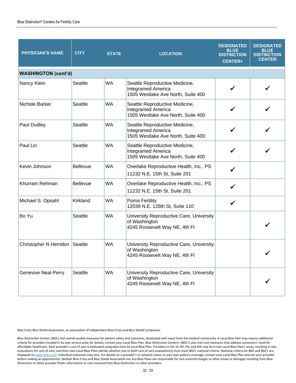| <b>PHYSICIAN'S NAME</b>    | <b>CITY</b>     | <b>STATE</b> | <b>LOCATION</b>                                                                                   | <b>DESIGNATED</b><br><b>BLUE</b><br><b>DISTINCTION</b><br><b>CENTER+</b> | <b>DESIGNATED</b><br><b>BLUE</b><br><b>DISTINCTION</b><br><b>CENTER</b> |
|----------------------------|-----------------|--------------|---------------------------------------------------------------------------------------------------|--------------------------------------------------------------------------|-------------------------------------------------------------------------|
| <b>WASHINGTON (cont'd)</b> |                 |              |                                                                                                   |                                                                          |                                                                         |
| Nancy Klein                | Seattle         | <b>WA</b>    | Seattle Reproductive Medicine,<br><b>Integramed America</b><br>1505 Westlake Ave North, Suite 400 |                                                                          |                                                                         |
| Nichole Barker             | Seattle         | <b>WA</b>    | Seattle Reproductive Medicine,<br><b>Integramed America</b><br>1505 Westlake Ave North, Suite 400 |                                                                          |                                                                         |
| <b>Paul Dudley</b>         | Seattle         | <b>WA</b>    | Seattle Reproductive Medicine,<br><b>Integramed America</b><br>1505 Westlake Ave North, Suite 400 |                                                                          |                                                                         |
| Paul Lin                   | Seattle         | <b>WA</b>    | Seattle Reproductive Medicine,<br><b>Integramed America</b><br>1505 Westlake Ave North, Suite 400 |                                                                          |                                                                         |
| Kevin Johnson              | <b>Bellevue</b> | <b>WA</b>    | Overlake Reproductive Health, Inc., PS<br>11232 N.E. 15th St, Suite 201                           |                                                                          |                                                                         |
| Khurram Rehman             | <b>Bellevue</b> | <b>WA</b>    | Overlake Reproductive Health, Inc., PS<br>11232 N.E. 15th St, Suite 201                           |                                                                          |                                                                         |
| Michael S. Opsahl          | Kirkland        | <b>WA</b>    | Poma Fertility<br>12039 N.E. 128th St, Suite 110                                                  | $\checkmark$                                                             |                                                                         |
| Bo Yu                      | Seattle         | <b>WA</b>    | University Reproductive Care, University<br>of Washington<br>4245 Roosevelt Way NE, 4th FI        |                                                                          |                                                                         |
| Christopher N Herndon      | Seattle         | <b>WA</b>    | University Reproductive Care, University<br>of Washington<br>4245 Roosevelt Way NE, 4th Fl        |                                                                          |                                                                         |
| <b>Genevive Neal-Perry</b> | Seattle         | <b>WA</b>    | University Reproductive Care, University<br>of Washington<br>4245 Roosevelt Way NE, 4th FI        |                                                                          |                                                                         |